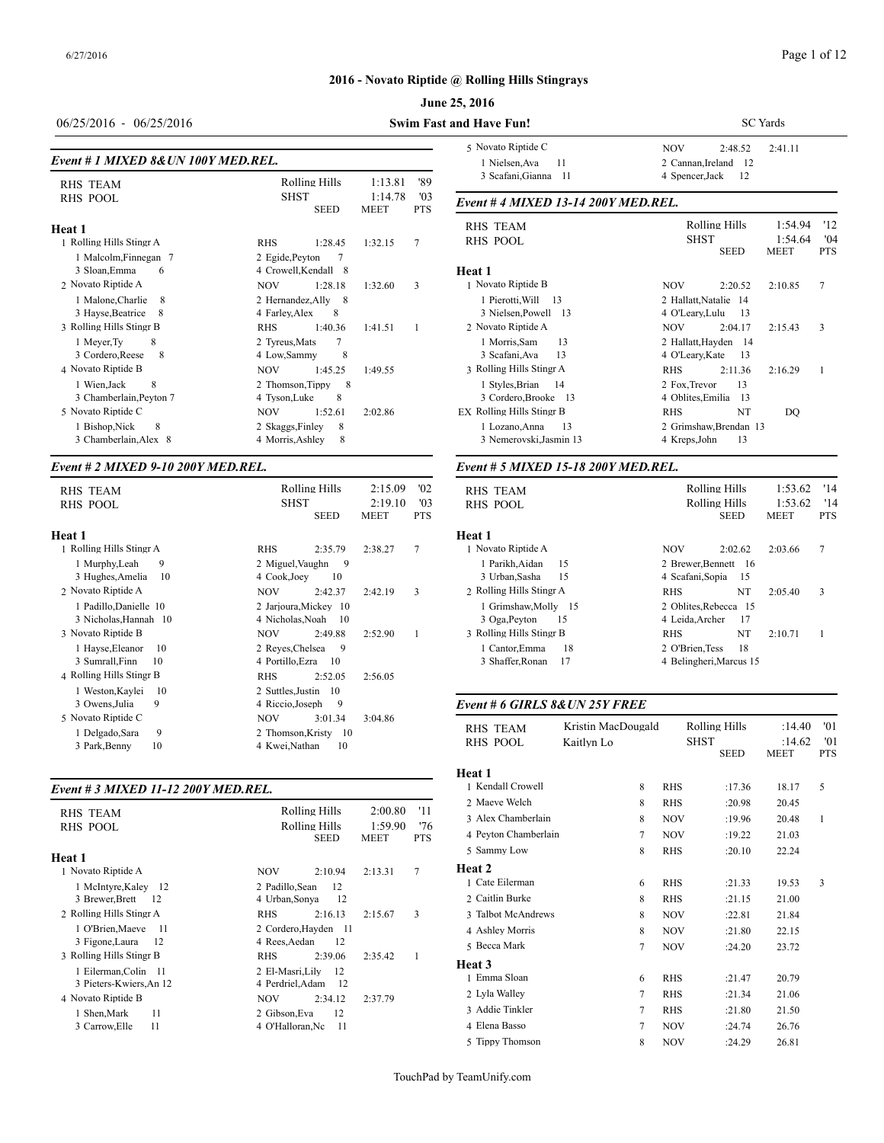# Page 1 of 12

# **2016 - Novato Riptide @ Rolling Hills Stingrays**

#### **June 25, 2016**

| 06/25/2016 - 06/25/2016                                         |                                             |                            |                        |                              | <b>Swim Fast and Have Fun!</b>                         |
|-----------------------------------------------------------------|---------------------------------------------|----------------------------|------------------------|------------------------------|--------------------------------------------------------|
| Event # 1 MIXED 8& UN 100Y MED.REL.                             | 5 Novato Riptide<br>1 Nielsen, Ava          |                            |                        |                              |                                                        |
| <b>RHS TEAM</b>                                                 |                                             | Rolling Hills              | 1:13.81                | '89                          | 3 Scafani, Gian                                        |
| <b>RHS POOL</b>                                                 |                                             | <b>SHST</b><br><b>SEED</b> | 1:14.78<br><b>MEET</b> | $^{\prime}$ 03<br><b>PTS</b> | Event #4 MIXE                                          |
| Heat 1                                                          |                                             |                            |                        |                              | <b>RHS TEAM</b>                                        |
| 1 Rolling Hills Stingr A                                        | <b>RHS</b>                                  | 1:28.45                    | 1:32.15                | 7                            | <b>RHS POOL</b>                                        |
| 1 Malcolm, Finnegan 7<br>3 Sloan, Emma<br>6                     | 2 Egide, Peyton                             | 7<br>4 Crowell, Kendall 8  |                        |                              | Heat 1                                                 |
| 2 Novato Riptide A                                              | <b>NOV</b>                                  | 1:28.18                    | 1:32.60                | 3                            | 1 Novato Riptide                                       |
| 1 Malone, Charlie<br>8<br>3 Hayse, Beatrice<br>8                | 2 Hernandez, Ally<br>4 Farley, Alex         | - 8<br>8                   |                        |                              | 1 Pierotti, Will<br>3 Nielsen, Pow                     |
| 3 Rolling Hills Stingr B                                        | <b>RHS</b>                                  | 1:40.36                    | 1:41.51                | 1                            | 2 Novato Riptide.                                      |
| 8<br>1 Meyer, Ty<br>3 Cordero, Reese<br>8<br>4 Novato Riptide B | 2 Tyreus, Mats<br>4 Low.Sammy<br><b>NOV</b> | 7<br>8<br>1:45.25          | 1:49.55                |                              | 1 Morris, Sam<br>3 Scafani, Ava<br>3 Rolling Hills Sti |
| 8<br>1 Wien, Jack<br>3 Chamberlain, Peyton 7                    | 2 Thomson, Tippy<br>4 Tyson, Luke           | 8<br>8                     |                        |                              | 1 Styles, Brian<br>3 Cordero, Bro                      |
| 5 Novato Riptide C                                              | <b>NOV</b>                                  | 1:52.61                    | 2:02.86                |                              | <b>EX Rolling Hills Sti</b>                            |
| 1 Bishop, Nick<br>8<br>3 Chamberlain, Alex 8                    | 2 Skaggs, Finley<br>4 Morris, Ashley        | 8<br>8                     |                        |                              | 1 Lozano, Anna<br>3 Nemerovski,                        |
|                                                                 |                                             |                            |                        |                              |                                                        |

#### *Event # 2 MIXED 9-10 200Y MED.REL.*

| <b>RHS TEAM</b><br>RHS POOL                     | Rolling Hills<br><b>SHST</b><br><b>SEED</b>      | '02<br>2:15.09<br>2:19.10<br>$^{\prime}$ 03<br><b>MEET</b><br><b>PTS</b> | RHS TEAM<br>RHS POOL               |
|-------------------------------------------------|--------------------------------------------------|--------------------------------------------------------------------------|------------------------------------|
| Heat 1                                          |                                                  |                                                                          | Heat 1                             |
| 1 Rolling Hills Stingr A                        | <b>RHS</b><br>2:35.79                            | 7<br>2:38.27                                                             | 1 Novato Riptide.                  |
| 1 Murphy, Leah<br>9<br>3 Hughes, Amelia<br>10   | 2 Miguel, Vaughn<br>9<br>4 Cook, Joey<br>10      |                                                                          | 1 Parikh, Aidan<br>3 Urban, Sasha  |
| 2 Novato Riptide A                              | 2:42.37<br><b>NOV</b>                            | 3<br>2:42.19                                                             | 2 Rolling Hills Sti                |
| 1 Padillo, Danielle 10<br>3 Nicholas, Hannah 10 | 2 Jarjoura, Mickey 10<br>4 Nicholas, Noah<br>-10 |                                                                          | 1 Grimshaw,M<br>3 Oga, Peyton      |
| 3 Novato Riptide B                              | 2:49.88<br><b>NOV</b>                            | 2:52.90<br>1                                                             | 3 Rolling Hills Sti                |
| 1 Hayse, Eleanor<br>10<br>3 Sumrall, Finn<br>10 | 2 Reves, Chelsea<br>9<br>4 Portillo, Ezra<br>10  |                                                                          | 1 Cantor, Emma<br>3 Shaffer, Rona  |
| 4 Rolling Hills Stingr B                        | <b>RHS</b><br>2:52.05                            | 2:56.05                                                                  |                                    |
| 1 Weston, Kaylei<br>10                          | 2 Suttles, Justin<br>-10                         |                                                                          |                                    |
| 3 Owens, Julia<br>9                             | 4 Riccio, Joseph<br>9                            |                                                                          | Event # 6 GIRL.                    |
| 5 Novato Riptide C                              | <b>NOV</b><br>3:01.34                            | 3:04.86                                                                  |                                    |
| 9<br>1 Delgado, Sara<br>10<br>3 Park, Benny     | 2 Thomson, Kristy<br>-10<br>4 Kwei,Nathan<br>10  |                                                                          | <b>RHS TEAM</b><br><b>RHS POOL</b> |
|                                                 |                                                  |                                                                          |                                    |

#### *Event # 3 MIXED 11-12 200Y MED.REL.*

| RHS TEAM<br><b>RHS POOL</b><br>Heat 1      |            |                  | Rolling Hills<br>Rolling Hills<br>SEED | 2:00.80<br>1:59.90<br><b>MEET</b> | '11<br>'76<br><b>PTS</b> | 2 Maeve Welch<br>3 Alex Chamberla<br>4 Peyton Chamber<br>5 Sammy Low |
|--------------------------------------------|------------|------------------|----------------------------------------|-----------------------------------|--------------------------|----------------------------------------------------------------------|
| 1 Novato Riptide A<br>1 McIntyre, Kaley 12 | NOV        | 2 Padillo, Sean  | 2:10.94<br>12                          | 2:13.31                           | 7                        | Heat 2<br>1 Cate Eilerman                                            |
| 3 Brewer, Brett<br>12                      |            | 4 Urban, Sonya   | 12                                     |                                   |                          | 2 Caitlin Burke                                                      |
| 2 Rolling Hills Stingr A                   | <b>RHS</b> |                  | 2:16.13                                | 2:15.67                           | 3                        | 3 Talbot McAndre                                                     |
| 1 O'Brien, Maeve<br>- 11                   |            |                  | 2 Cordero, Hayden 11                   |                                   |                          | 4 Ashley Morris                                                      |
| 3 Figone, Laura<br>-12                     |            | 4 Rees, Aedan    | 12                                     |                                   |                          | 5 Becca Mark                                                         |
| 3 Rolling Hills Stingr B                   | <b>RHS</b> |                  | 2:39.06                                | 2:35.42                           | 1                        | Heat 3                                                               |
| 1 Eilerman, Colin 11                       |            | 2 El-Masri, Lily | -12                                    |                                   |                          | 1 Emma Sloan                                                         |
| 3 Pieters-Kwiers, An 12                    |            | 4 Perdriel.Adam  | - 12                                   |                                   |                          |                                                                      |
| 4 Novato Riptide B                         | NOV.       |                  | 2:34.12                                | 2:37.79                           |                          | 2 Lyla Walley                                                        |
| 1 Shen, Mark<br>11                         |            | 2 Gibson, Eva    | 12                                     |                                   |                          | 3 Addie Tinkler                                                      |
| 11<br>3 Carrow, Elle                       |            | 4 O'Halloran.Nc  | 11                                     |                                   |                          | 4 Elena Basso                                                        |
|                                            |            |                  |                                        |                                   |                          |                                                                      |

| and Have Fun!                       | <b>SC</b> Yards                  |            |  |  |  |  |
|-------------------------------------|----------------------------------|------------|--|--|--|--|
| 5 Novato Riptide C                  | <b>NOV</b><br>2:41.11<br>2:48.52 |            |  |  |  |  |
| 1 Nielsen, Ava<br>11                | 2 Cannan, Ireland 12             |            |  |  |  |  |
| 3 Scafani, Gianna 11                | 4 Spencer, Jack<br>-12           |            |  |  |  |  |
| Event # 4 MIXED 13-14 200Y MED.REL. |                                  |            |  |  |  |  |
| <b>RHS TEAM</b>                     | Rolling Hills<br>1:54.94         | '12        |  |  |  |  |
| <b>RHS POOL</b>                     | SHST<br>1:54.64                  | '04        |  |  |  |  |
|                                     | <b>SEED</b><br><b>MEET</b>       | <b>PTS</b> |  |  |  |  |
| Heat 1                              |                                  |            |  |  |  |  |
| 1 Novato Riptide B                  | <b>NOV</b><br>2:20.52<br>2:10.85 | 7          |  |  |  |  |
| 1 Pierotti, Will<br>- 13            | 2 Hallatt, Natalie 14            |            |  |  |  |  |
| 3 Nielsen, Powell 13                | 4 O'Leary, Lulu<br>13            |            |  |  |  |  |
| 2 Novato Riptide A                  | NOV.<br>2:04.17<br>2:15.43       | 3          |  |  |  |  |
| 1 Morris, Sam<br>13                 | 2 Hallatt, Hayden 14             |            |  |  |  |  |
| 3 Scafani, Ava<br>13                | 4 O'Leary, Kate<br>13            |            |  |  |  |  |
| 3 Rolling Hills Stingr A            | <b>RHS</b><br>2:11.36<br>2:16.29 | 1          |  |  |  |  |
| 1 Styles, Brian<br>-14              | 2 Fox, Trevor<br>13              |            |  |  |  |  |
| 3 Cordero, Brooke 13                | 4 Oblites, Emilia<br>13          |            |  |  |  |  |

EX Rolling Hills Stingr B RHS NT DQ

# Lozano,Anna 13 2 Grimshaw,Brendan 13 3 Nemerovski,Jasmin 13 *Event # 5 MIXED 15-18 200Y MED.REL.*

| RHS TEAM                 | Rolling Hills                               | 1:53.62      | '14               |
|--------------------------|---------------------------------------------|--------------|-------------------|
| RHS POOL                 | Rolling Hills<br><b>SEED</b><br><b>MEET</b> | 1:53.62      | '14<br><b>PTS</b> |
| Heat 1                   |                                             |              |                   |
| 1 Novato Riptide A       | <b>NOV</b><br>2:02.62                       | 7<br>2:03.66 |                   |
| 1 Parikh, Aidan<br>15    | 2 Brewer, Bennett 16                        |              |                   |
| 3 Urban, Sasha<br>15     | 4 Scafani, Sopia<br>-15                     |              |                   |
| 2 Rolling Hills Stingr A | NT<br><b>RHS</b>                            | 3<br>2:05.40 |                   |
| 1 Grimshaw, Molly 15     | 2 Oblites.Rebecca 15                        |              |                   |
| 3 Oga, Peyton<br>15      | 4 Leida, Archer<br>17                       |              |                   |
| 3 Rolling Hills Stingr B | NT<br><b>RHS</b>                            | 2:10.71      |                   |
| 18<br>1 Cantor, Emma     | 18<br>2 O'Brien.Tess                        |              |                   |
| 17<br>3 Shaffer Ronan    | 4 Belingheri, Marcus 15                     |              |                   |
|                          |                                             |              |                   |

#### *Event # 6 GIRLS 8&UN 25Y FREE*

| <b>RHS TEAM</b><br><b>RHS POOL</b> | Kristin MacDougald<br>Kaitlyn Lo |            | Rolling Hills<br><b>SHST</b> | :14.40<br>:14.62 | '01<br>'01 |
|------------------------------------|----------------------------------|------------|------------------------------|------------------|------------|
|                                    |                                  |            | <b>SEED</b>                  | <b>MEET</b>      | <b>PTS</b> |
| Heat 1                             |                                  |            |                              |                  |            |
| 1 Kendall Crowell                  | 8                                | <b>RHS</b> | :17.36                       | 18.17            | 5          |
| 2 Maeve Welch                      | 8                                | <b>RHS</b> | :20.98                       | 20.45            |            |
| 3 Alex Chamberlain                 | 8                                | <b>NOV</b> | :19.96                       | 20.48            | 1          |
| 4 Peyton Chamberlain               | 7                                | <b>NOV</b> | :19.22                       | 21.03            |            |
| 5 Sammy Low                        | 8                                | <b>RHS</b> | :20.10                       | 22.24            |            |
| Heat 2                             |                                  |            |                              |                  |            |
| 1 Cate Eilerman                    | 6                                | <b>RHS</b> | :21.33                       | 19.53            | 3          |
| 2 Caitlin Burke                    | 8                                | <b>RHS</b> | :21.15                       | 21.00            |            |
| 3 Talbot McAndrews                 | 8                                | <b>NOV</b> | :22.81                       | 21.84            |            |
| 4 Ashley Morris                    | 8                                | <b>NOV</b> | :21.80                       | 22.15            |            |
| 5 Becca Mark                       | 7                                | <b>NOV</b> | :24.20                       | 23.72            |            |
| Heat 3                             |                                  |            |                              |                  |            |
| 1 Emma Sloan                       | 6                                | <b>RHS</b> | :21.47                       | 20.79            |            |
| 2 Lyla Walley                      | 7                                | <b>RHS</b> | :21.34                       | 21.06            |            |
| 3 Addie Tinkler                    | 7                                | <b>RHS</b> | :21.80                       | 21.50            |            |
| 4 Elena Basso                      | 7                                | <b>NOV</b> | :24.74                       | 26.76            |            |
| 5 Tippy Thomson                    | 8                                | <b>NOV</b> | :24.29                       | 26.81            |            |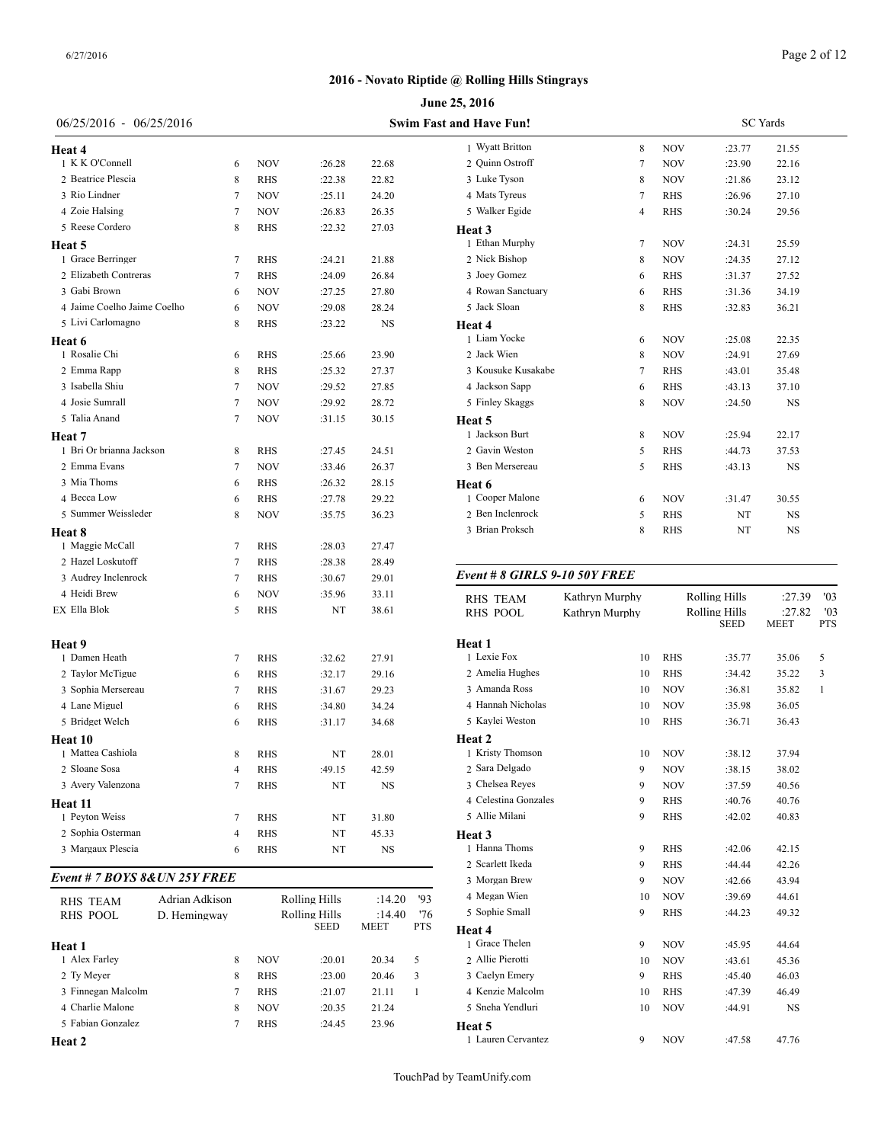# Page 2 of 12

# **2016 - Novato Riptide @ Rolling Hills Stingrays**

|                              |                |            |                       |                |              | June 25, 2016               |           |
|------------------------------|----------------|------------|-----------------------|----------------|--------------|-----------------------------|-----------|
| 06/25/2016 - 06/25/2016      |                |            |                       |                |              | Swim Fast and Have Fun!     |           |
| Heat 4                       |                |            |                       |                |              | 1 Wyatt Britton             |           |
| 1 K K O'Connell              | 6              | NOV        | :26.28                | 22.68          |              | 2 Quinn Ostroff             |           |
| 2 Beatrice Plescia           | 8              | RHS        | :22.38                | 22.82          |              | 3 Luke Tyson                |           |
| 3 Rio Lindner                | 7              | <b>NOV</b> | :25.11                | 24.20          |              | 4 Mats Tyreus               |           |
| 4 Zoie Halsing               | 7              | <b>NOV</b> | :26.83                | 26.35          |              | 5 Walker Egide              |           |
| 5 Reese Cordero              | 8              | RHS        | :22.32                | 27.03          |              | Heat 3                      |           |
| Heat 5                       |                |            |                       |                |              | 1 Ethan Murphy              |           |
| 1 Grace Berringer            | 7              | <b>RHS</b> | :24.21                | 21.88          |              | 2 Nick Bishop               |           |
| 2 Elizabeth Contreras        | 7              | RHS        | :24.09                | 26.84          |              | 3 Joey Gomez                |           |
| 3 Gabi Brown                 | 6              | NOV        | :27.25                | 27.80          |              | 4 Rowan Sanctuary           |           |
| 4 Jaime Coelho Jaime Coelho  | 6              | <b>NOV</b> | :29.08                | 28.24          |              | 5 Jack Sloan                |           |
| 5 Livi Carlomagno            | 8              | RHS        | :23.22                | NS             |              | Heat 4                      |           |
| Heat 6                       |                |            |                       |                |              | 1 Liam Yocke                |           |
| 1 Rosalie Chi                | 6              | RHS        | :25.66                | 23.90          |              | 2 Jack Wien                 |           |
| 2 Emma Rapp                  | 8              | RHS        | :25.32                | 27.37          |              | 3 Kousuke Kusakabe          |           |
| 3 Isabella Shiu              | 7              | NOV        | :29.52                | 27.85          |              | 4 Jackson Sapp              |           |
| 4 Josie Sumrall              | 7              | <b>NOV</b> | :29.92                | 28.72          |              | 5 Finley Skaggs             |           |
| 5 Talia Anand                | 7              | <b>NOV</b> | :31.15                | 30.15          |              | Heat 5                      |           |
| Heat 7                       |                |            |                       |                |              | 1 Jackson Burt              |           |
| 1 Bri Or brianna Jackson     | 8              | RHS        | :27.45                | 24.51          |              | 2 Gavin Weston              |           |
| 2 Emma Evans                 | 7              | <b>NOV</b> | :33.46                | 26.37          |              | 3 Ben Mersereau             |           |
| 3 Mia Thoms                  | 6              | RHS        | :26.32                | 28.15          |              | Heat 6                      |           |
| 4 Becca Low                  | 6              | RHS        | :27.78                | 29.22          |              | 1 Cooper Malone             |           |
| 5 Summer Weissleder          | 8              | NOV        | :35.75                | 36.23          |              | 2 Ben Inclenrock            |           |
| Heat 8                       |                |            |                       |                |              | 3 Brian Proksch             |           |
| 1 Maggie McCall              | 7              | RHS        | :28.03                | 27.47          |              |                             |           |
| 2 Hazel Loskutoff            | 7              | RHS        | :28.38                | 28.49          |              | Event # 8 GIRLS 9-10 50Y F. |           |
| 3 Audrey Inclenrock          | 7              | RHS        | :30.67                | 29.01          |              |                             |           |
| 4 Heidi Brew                 | 6              | NOV        | :35.96                | 33.11          |              | RHS TEAM                    | Kathryn M |
| EX Ella Blok                 | 5              | RHS        | NT                    | 38.61          |              | RHS POOL                    | Kathryn M |
| Heat 9                       |                |            |                       |                |              | Heat 1                      |           |
| 1 Damen Heath                | 7              | RHS        | :32.62                | 27.91          |              | 1 Lexie Fox                 |           |
| 2 Taylor McTigue             | 6              | RHS        | :32.17                | 29.16          |              | 2 Amelia Hughes             |           |
| 3 Sophia Mersereau           | 7              | RHS        | :31.67                | 29.23          |              | 3 Amanda Ross               |           |
| 4 Lane Miguel                | 6              | RHS        | :34.80                | 34.24          |              | 4 Hannah Nicholas           |           |
| 5 Bridget Welch              | 6              | RHS        | :31.17                | 34.68          |              | 5 Kaylei Weston             |           |
| Heat 10                      |                |            |                       |                |              | Heat 2                      |           |
| 1 Mattea Cashiola            | 8              | RHS        | NT                    | 28.01          |              | 1 Kristy Thomson            |           |
| 2 Sloane Sosa                | 4              | <b>RHS</b> | :49.15                | 42.59          |              | 2 Sara Delgado              |           |
| 3 Avery Valenzona            | 7              | <b>RHS</b> | NT                    | NS             |              | 3 Chelsea Reyes             |           |
| Heat 11                      |                |            |                       |                |              | 4 Celestina Gonzales        |           |
| 1 Peyton Weiss               | 7              | RHS        | NT                    | 31.80          |              | 5 Allie Milani              |           |
| 2 Sophia Osterman            | 4              | RHS        | NT                    | 45.33          |              | Heat 3                      |           |
| 3 Margaux Plescia            | 6              | RHS        | NT                    | NS             |              | 1 Hanna Thoms               |           |
| Event # 7 BOYS 8&UN 25Y FREE |                |            |                       |                |              | 2 Scarlett Ikeda            |           |
|                              |                |            |                       |                |              | 3 Morgan Brew               |           |
| <b>RHS TEAM</b>              | Adrian Adkison |            | <b>Rolling Hills</b>  | :14.20         | '93          | 4 Megan Wien                |           |
| RHS POOL                     | D. Hemingway   |            | Rolling Hills<br>SEED | :14.40<br>MEET | '76<br>PTS   | 5 Sophie Small<br>Heat 4    |           |
| Heat 1                       |                |            |                       |                |              | 1 Grace Thelen              |           |
| 1 Alex Farley                | 8              | NOV        | :20.01                | 20.34          | 5            | 2 Allie Pierotti            |           |
| 2 Ty Meyer                   | 8              | RHS        | :23.00                | 20.46          | 3            | 3 Caelyn Emery              |           |
| 3 Finnegan Malcolm           | 7              | RHS        | :21.07                | 21.11          | $\mathbf{1}$ | 4 Kenzie Malcolm            |           |
| 4 Charlie Malone             | 8              | NOV        | :20.35                | 21.24          |              | 5 Sneha Yendluri            |           |
| 5 Fabian Gonzalez            | 7              | RHS        | :24.45                | 23.96          |              | Heat 5                      |           |
| <b>Heat 2</b>                |                |            |                       |                |              | 1 Lauren Cervantez          |           |

| nd Have Fun!       |                | <b>SC</b> Yards |        |           |  |  |  |
|--------------------|----------------|-----------------|--------|-----------|--|--|--|
| 1 Wyatt Britton    | 8              | <b>NOV</b>      | :23.77 | 21.55     |  |  |  |
| 2 Quinn Ostroff    | 7              | <b>NOV</b>      | :23.90 | 22.16     |  |  |  |
| 3 Luke Tyson       | 8              | <b>NOV</b>      | :21.86 | 23.12     |  |  |  |
| 4 Mats Tyreus      | 7              | <b>RHS</b>      | :26.96 | 27.10     |  |  |  |
| 5 Walker Egide     | $\overline{4}$ | <b>RHS</b>      | :30.24 | 29.56     |  |  |  |
| Heat <sub>3</sub>  |                |                 |        |           |  |  |  |
| 1 Ethan Murphy     | $\overline{7}$ | <b>NOV</b>      | :24.31 | 25.59     |  |  |  |
| 2 Nick Bishop      | 8              | <b>NOV</b>      | :24.35 | 27.12     |  |  |  |
| 3 Joey Gomez       | 6              | <b>RHS</b>      | :31.37 | 27.52     |  |  |  |
| 4 Rowan Sanctuary  | 6              | <b>RHS</b>      | :31.36 | 34.19     |  |  |  |
| 5 Jack Sloan       | 8              | <b>RHS</b>      | :32.83 | 36.21     |  |  |  |
| Heat 4             |                |                 |        |           |  |  |  |
| 1 Liam Yocke       | 6              | <b>NOV</b>      | :25.08 | 22.35     |  |  |  |
| 2 Jack Wien        | 8              | <b>NOV</b>      | :24.91 | 27.69     |  |  |  |
| 3 Kousuke Kusakabe | 7              | <b>RHS</b>      | :43.01 | 35.48     |  |  |  |
| 4 Jackson Sapp     | 6              | <b>RHS</b>      | :43.13 | 37.10     |  |  |  |
| 5 Finley Skaggs    | 8              | <b>NOV</b>      | :24.50 | NS        |  |  |  |
| Heat 5             |                |                 |        |           |  |  |  |
| 1 Jackson Burt     | 8              | <b>NOV</b>      | :25.94 | 22.17     |  |  |  |
| 2 Gavin Weston     | 5              | <b>RHS</b>      | :44.73 | 37.53     |  |  |  |
| 3 Ben Mersereau    | 5              | <b>RHS</b>      | :43.13 | NS        |  |  |  |
| Heat 6             |                |                 |        |           |  |  |  |
| 1 Cooper Malone    | 6              | <b>NOV</b>      | :31.47 | 30.55     |  |  |  |
| 2 Ben Inclenrock   | 5              | <b>RHS</b>      | NT     | <b>NS</b> |  |  |  |
| 3 Brian Proksch    | 8              | <b>RHS</b>      | NT     | <b>NS</b> |  |  |  |

# *Event # 8 GIRLS 9-10 50Y FREE*

| <b>RHS TEAM</b><br><b>RHS POOL</b> | Kathryn Murphy<br>Kathrvn Murphy |            | <b>Rolling Hills</b><br><b>Rolling Hills</b> | :27.39<br>:27.82 | '03<br>'03 |  |
|------------------------------------|----------------------------------|------------|----------------------------------------------|------------------|------------|--|
|                                    |                                  |            | <b>SEED</b>                                  | <b>MEET</b>      | <b>PTS</b> |  |
| Heat 1                             |                                  |            |                                              |                  |            |  |
| 1 Lexie Fox                        | 10                               | <b>RHS</b> | :35.77                                       | 35.06            | 5          |  |
| 2 Amelia Hughes                    | 10                               | <b>RHS</b> | :34.42                                       | 35.22            | 3          |  |
| 3 Amanda Ross                      | 10                               | <b>NOV</b> | :36.81                                       | 35.82            | 1          |  |
| 4 Hannah Nicholas                  | 10                               | <b>NOV</b> | :35.98                                       | 36.05            |            |  |
| 5 Kaylei Weston                    | 10                               | <b>RHS</b> | :36.71                                       | 36.43            |            |  |
| Heat 2                             |                                  |            |                                              |                  |            |  |
| 1 Kristy Thomson                   | 10                               | <b>NOV</b> | :38.12                                       | 37.94            |            |  |
| 2 Sara Delgado                     | 9                                | <b>NOV</b> | :38.15                                       | 38.02            |            |  |
| 3 Chelsea Reyes                    | 9                                | <b>NOV</b> | :37.59                                       | 40.56            |            |  |
| 4 Celestina Gonzales               | 9                                | <b>RHS</b> | :40.76                                       | 40.76            |            |  |
| 5 Allie Milani                     | 9                                | <b>RHS</b> | :42.02                                       | 40.83            |            |  |
| Heat 3                             |                                  |            |                                              |                  |            |  |
| 1 Hanna Thoms                      | 9                                | <b>RHS</b> | :42.06                                       | 42.15            |            |  |
| 2 Scarlett Ikeda                   | 9                                | <b>RHS</b> | :44.44                                       | 42.26            |            |  |
| 3 Morgan Brew                      | 9                                | <b>NOV</b> | :42.66                                       | 43.94            |            |  |
| 4 Megan Wien                       | 10                               | <b>NOV</b> | :39.69                                       | 44.61            |            |  |
| 5 Sophie Small                     | 9                                | <b>RHS</b> | :44.23                                       | 49.32            |            |  |
| Heat 4                             |                                  |            |                                              |                  |            |  |
| 1 Grace Thelen                     | 9                                | <b>NOV</b> | :45.95                                       | 44.64            |            |  |
| 2 Allie Pierotti                   | 10                               | <b>NOV</b> | :43.61                                       | 45.36            |            |  |
| 3 Caelyn Emery                     | 9                                | <b>RHS</b> | :45.40                                       | 46.03            |            |  |
| 4 Kenzie Malcolm                   | 10                               | <b>RHS</b> | :47.39                                       | 46.49            |            |  |
| 5 Sneha Yendluri                   | 10                               | <b>NOV</b> | :44.91                                       | <b>NS</b>        |            |  |
| Heat 5                             |                                  |            |                                              |                  |            |  |
| 1 Lauren Cervantez                 | 9                                | <b>NOV</b> | :47.58                                       | 47.76            |            |  |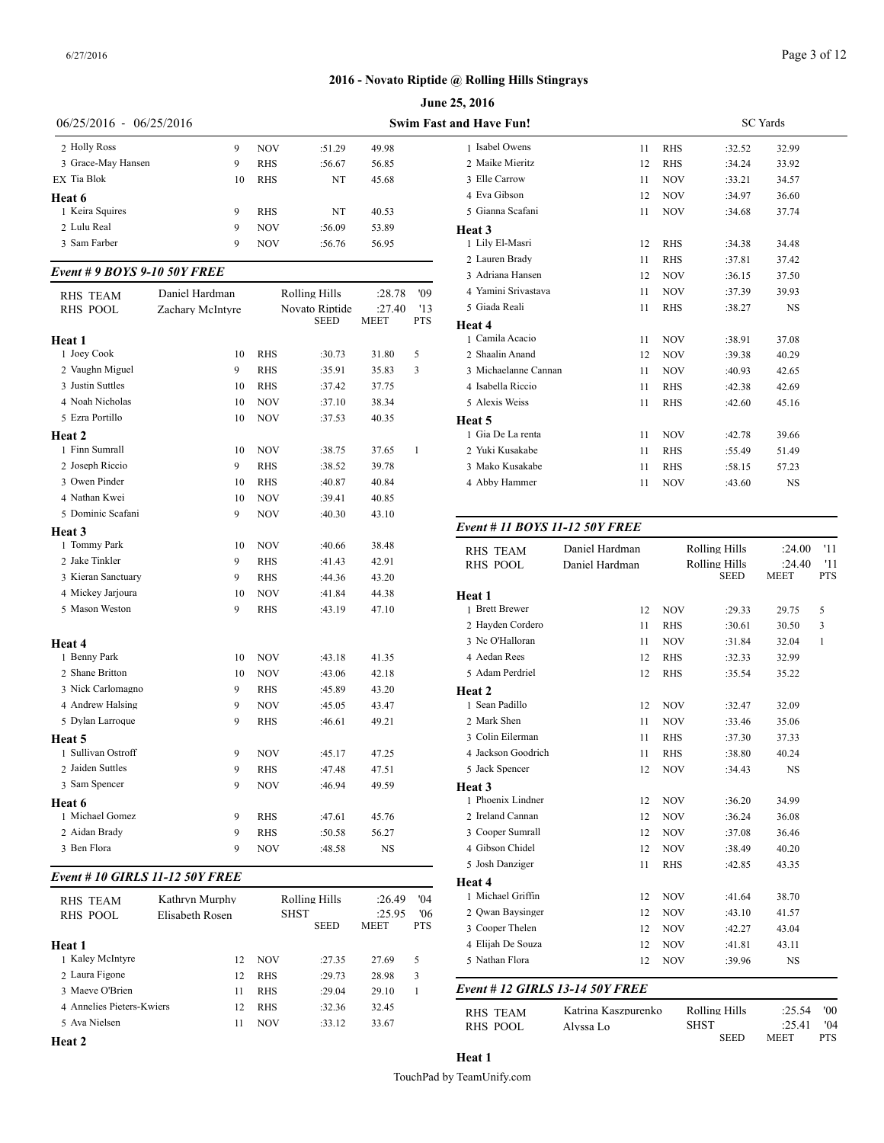|                           |    |            | June 25, 2016 |       |                                |  |  |  |  |
|---------------------------|----|------------|---------------|-------|--------------------------------|--|--|--|--|
| $06/25/2016 - 06/25/2016$ |    |            |               |       | <b>Swim Fast and Have Fun!</b> |  |  |  |  |
| 2 Holly Ross              | 9  | <b>NOV</b> | :51.29        | 49.98 | 1 Isabel Owens                 |  |  |  |  |
| 3 Grace-May Hansen        | 9  | <b>RHS</b> | :56.67        | 56.85 | 2 Maike Mieritz                |  |  |  |  |
| EX Tia Blok               | 10 | <b>RHS</b> | NT            | 45.68 | 3 Elle Carrow                  |  |  |  |  |
| <b>Heat 6</b>             |    |            |               |       | 4 Eva Gibson                   |  |  |  |  |
| 1 Keira Squires           | 9  | <b>RHS</b> | NT            | 40.53 | 5 Gianna Scafani               |  |  |  |  |
| 2 Lulu Real               | 9  | <b>NOV</b> | :56.09        | 53.89 | Heat 3                         |  |  |  |  |
| 3 Sam Farber              | 9  | <b>NOV</b> | :56.76        | 56.95 | 1 Lily El-Masri                |  |  |  |  |

# *Event # 9 BOYS 9-10 50Y FREE*

| RHS TEAM           | Daniel Hardman   |            | <b>Rolling Hills</b> | :28.78      | '09        | 4 Yamini Srivasta |
|--------------------|------------------|------------|----------------------|-------------|------------|-------------------|
| <b>RHS POOL</b>    | Zachary McIntyre |            | Novato Riptide       | :27.40      | '13        | 5 Giada Reali     |
|                    |                  |            | <b>SEED</b>          | <b>MEET</b> | <b>PTS</b> | Heat 4            |
| Heat 1             |                  |            |                      |             |            | 1 Camila Acacio   |
| 1 Joey Cook        | 10               | RHS        | :30.73               | 31.80       | 5          | 2 Shaalin Anand   |
| 2 Vaughn Miguel    | 9                | RHS        | :35.91               | 35.83       | 3          | 3 Michaelanne Ca  |
| 3 Justin Suttles   | 10               | <b>RHS</b> | :37.42               | 37.75       |            | 4 Isabella Riccio |
| 4 Noah Nicholas    | 10               | <b>NOV</b> | :37.10               | 38.34       |            | 5 Alexis Weiss    |
| 5 Ezra Portillo    | 10               | NOV        | :37.53               | 40.35       |            | Heat 5            |
| Heat 2             |                  |            |                      |             |            | 1 Gia De La renta |
| 1 Finn Sumrall     | 10               | NOV        | :38.75               | 37.65       | 1          | 2 Yuki Kusakabe   |
| 2 Joseph Riccio    | 9                | <b>RHS</b> | :38.52               | 39.78       |            | 3 Mako Kusakabe   |
| 3 Owen Pinder      | 10               | <b>RHS</b> | :40.87               | 40.84       |            | 4 Abby Hammer     |
| 4 Nathan Kwei      | 10               | <b>NOV</b> | :39.41               | 40.85       |            |                   |
| 5 Dominic Scafani  | 9                | <b>NOV</b> | :40.30               | 43.10       |            |                   |
| Heat 3             |                  |            |                      |             |            | Event # 11 $BOY$  |
| 1 Tommy Park       | 10               | NOV        | :40.66               | 38.48       |            | <b>RHS TEAM</b>   |
| 2 Jake Tinkler     | 9                | <b>RHS</b> | :41.43               | 42.91       |            | <b>RHS POOL</b>   |
| 3 Kieran Sanctuary | 9                | <b>RHS</b> | :44.36               | 43.20       |            |                   |
| 4 Mickey Jarjoura  | 10               | NOV        | :41.84               | 44.38       |            | Heat 1            |
| 5 Mason Weston     | 9                | RHS        | :43.19               | 47.10       |            | 1 Brett Brewer    |
|                    |                  |            |                      |             |            | 2 Hayden Corderc  |
| Heat 4             |                  |            |                      |             |            | 3 Nc O'Halloran   |
| 1 Benny Park       | 10               | NOV        | :43.18               | 41.35       |            | 4 Aedan Rees      |
| 2 Shane Britton    | 10               | NOV        | :43.06               | 42.18       |            | 5 Adam Perdriel   |
| 3 Nick Carlomagno  | 9                | <b>RHS</b> | :45.89               | 43.20       |            | Heat 2            |
| 4 Andrew Halsing   | 9                | NOV        | :45.05               | 43.47       |            | 1 Sean Padillo    |
| 5 Dylan Larroque   | 9                | <b>RHS</b> | :46.61               | 49.21       |            | 2 Mark Shen       |
| Heat 5             |                  |            |                      |             |            | 3 Colin Eilerman  |
| 1 Sullivan Ostroff | 9                | <b>NOV</b> | :45.17               | 47.25       |            | 4 Jackson Goodric |
| 2 Jaiden Suttles   | 9                | <b>RHS</b> | :47.48               | 47.51       |            | 5 Jack Spencer    |
| 3 Sam Spencer      | 9                | <b>NOV</b> | :46.94               | 49.59       |            | Heat 3            |
| Heat 6             |                  |            |                      |             |            | 1 Phoenix Lindner |
| 1 Michael Gomez    | 9                | <b>RHS</b> | :47.61               | 45.76       |            | 2 Ireland Cannan  |
| 2 Aidan Brady      | 9                | <b>RHS</b> | :50.58               | 56.27       |            | 3 Cooper Sumrall  |
| 3 Ben Flora        | 9                | <b>NOV</b> | :48.58               | <b>NS</b>   |            | 4 Gibson Chidel   |
|                    |                  |            |                      |             |            | 5 Josh Danziger   |

# *Event # 10 GIRLS 11-12 50Y FREE*

| <b>RHS TEAM</b><br><b>RHS POOL</b> | Kathryn Murphy<br>Elisabeth Rosen |            | Rolling Hills<br><b>SHST</b><br><b>SEED</b> | :26.49<br>:25.95<br><b>MEET</b> | 04'<br>'06<br><b>PTS</b> | 1 Michael Griffin<br>2 Owan Baysinger<br>3 Cooper Thelen |
|------------------------------------|-----------------------------------|------------|---------------------------------------------|---------------------------------|--------------------------|----------------------------------------------------------|
| <b>Heat 1</b>                      |                                   |            |                                             |                                 |                          | 4 Elijah De Souza                                        |
| 1 Kaley McIntyre                   | 12                                | <b>NOV</b> | :27.35                                      | 27.69                           | 5                        | 5 Nathan Flora                                           |
| 2 Laura Figone                     | 12                                | <b>RHS</b> | :29.73                                      | 28.98                           | 3                        |                                                          |
| 3 Maeve O'Brien                    | 11                                | <b>RHS</b> | :29.04                                      | 29.10                           |                          | Event # 12 GIRI                                          |
| 4 Annelies Pieters-Kwiers          | 12                                | <b>RHS</b> | :32.36                                      | 32.45                           |                          | <b>RHS TEAM</b>                                          |
| 5 Ava Nielsen                      | 11                                | <b>NOV</b> | :33.12                                      | 33.67                           |                          | RHS POOL                                                 |
|                                    |                                   |            |                                             |                                 |                          |                                                          |

| nd Have Fun!         |    |            | <b>SC</b> Yards |           |  |
|----------------------|----|------------|-----------------|-----------|--|
| 1 Isabel Owens       | 11 | <b>RHS</b> | :32.52          | 32.99     |  |
| 2 Maike Mieritz      | 12 | <b>RHS</b> | :34.24          | 33.92     |  |
| 3 Elle Carrow        | 11 | <b>NOV</b> | :33.21          | 34.57     |  |
| 4 Eva Gibson         | 12 | <b>NOV</b> | :34.97          | 36.60     |  |
| 5 Gianna Scafani     | 11 | <b>NOV</b> | :34.68          | 37.74     |  |
| Heat 3               |    |            |                 |           |  |
| 1 Lily El-Masri      | 12 | <b>RHS</b> | :34.38          | 34.48     |  |
| 2 Lauren Brady       | 11 | <b>RHS</b> | :37.81          | 37.42     |  |
| 3 Adriana Hansen     | 12 | <b>NOV</b> | :36.15          | 37.50     |  |
| 4 Yamini Srivastava  | 11 | <b>NOV</b> | :37.39          | 39.93     |  |
| 5 Giada Reali        | 11 | <b>RHS</b> | :38.27          | <b>NS</b> |  |
| Heat 4               |    |            |                 |           |  |
| 1 Camila Acacio      | 11 | <b>NOV</b> | :38.91          | 37.08     |  |
| 2 Shaalin Anand      | 12 | <b>NOV</b> | :39.38          | 40.29     |  |
| 3 Michaelanne Cannan | 11 | <b>NOV</b> | :40.93          | 42.65     |  |
| 4 Isabella Riccio    | 11 | <b>RHS</b> | :42.38          | 42.69     |  |
| 5 Alexis Weiss       | 11 | <b>RHS</b> | :42.60          | 45.16     |  |
| Heat 5               |    |            |                 |           |  |
| 1 Gia De La renta    | 11 | <b>NOV</b> | :42.78          | 39.66     |  |
| 2 Yuki Kusakabe      | 11 | <b>RHS</b> | :55.49          | 51.49     |  |
| 3 Mako Kusakabe      | 11 | <b>RHS</b> | :58.15          | 57.23     |  |
| 4 Abby Hammer        | 11 | <b>NOV</b> | :43.60          | <b>NS</b> |  |
|                      |    |            |                 |           |  |

# *Event # 11 BOYS 11-12 50Y FREE*

| <b>RHS TEAM</b>                 | Daniel Hardman      |            | <b>Rolling Hills</b><br><b>Rolling Hills</b> | :24.00<br>:24.40      | '11<br>'11        |
|---------------------------------|---------------------|------------|----------------------------------------------|-----------------------|-------------------|
| <b>RHS POOL</b>                 | Daniel Hardman      |            | <b>SEED</b>                                  | <b>MEET</b>           | <b>PTS</b>        |
| Heat 1                          |                     |            |                                              |                       |                   |
| 1 Brett Brewer                  | 12                  | <b>NOV</b> | :29.33                                       | 29.75                 | 5                 |
| 2 Hayden Cordero                | 11                  | <b>RHS</b> | :30.61                                       | 30.50                 | 3                 |
| 3 Nc O'Halloran                 | 11                  | <b>NOV</b> | :31.84                                       | 32.04                 | 1                 |
| 4 Aedan Rees                    | 12                  | <b>RHS</b> | :32.33                                       | 32.99                 |                   |
| 5 Adam Perdriel                 | 12                  | <b>RHS</b> | :35.54                                       | 35.22                 |                   |
| Heat <sub>2</sub>               |                     |            |                                              |                       |                   |
| 1 Sean Padillo                  | 12                  | <b>NOV</b> | :32.47                                       | 32.09                 |                   |
| 2 Mark Shen                     | 11                  | <b>NOV</b> | :33.46                                       | 35.06                 |                   |
| 3 Colin Eilerman                | 11                  | <b>RHS</b> | :37.30                                       | 37.33                 |                   |
| 4 Jackson Goodrich              | 11                  | <b>RHS</b> | :38.80                                       | 40.24                 |                   |
| 5 Jack Spencer                  | 12                  | <b>NOV</b> | :34.43                                       | <b>NS</b>             |                   |
| Heat 3                          |                     |            |                                              |                       |                   |
| 1 Phoenix Lindner               | 12                  | <b>NOV</b> | :36.20                                       | 34.99                 |                   |
| 2 Ireland Cannan                | 12                  | <b>NOV</b> | :36.24                                       | 36.08                 |                   |
| 3 Cooper Sumrall                | 12                  | <b>NOV</b> | :37.08                                       | 36.46                 |                   |
| 4 Gibson Chidel                 | 12                  | <b>NOV</b> | :38.49                                       | 40.20                 |                   |
| 5 Josh Danziger                 | 11                  | <b>RHS</b> | :42.85                                       | 43.35                 |                   |
| Heat 4                          |                     |            |                                              |                       |                   |
| 1 Michael Griffin               | 12                  | <b>NOV</b> | :41.64                                       | 38.70                 |                   |
| 2 Qwan Baysinger                | 12                  | <b>NOV</b> | :43.10                                       | 41.57                 |                   |
| 3 Cooper Thelen                 | 12                  | <b>NOV</b> | :42.27                                       | 43.04                 |                   |
| 4 Elijah De Souza               | 12                  | <b>NOV</b> | :41.81                                       | 43.11                 |                   |
| 5 Nathan Flora                  | 12                  | <b>NOV</b> | :39.96                                       | <b>NS</b>             |                   |
| Event # 12 GIRLS 13-14 50Y FREE |                     |            |                                              |                       |                   |
| <b>RHS TEAM</b>                 | Katrina Kaszpurenko |            | <b>Rolling Hills</b>                         | :25.54                | '00               |
| <b>RHS POOL</b>                 | Alvssa Lo           |            | <b>SHST</b><br><b>SEED</b>                   | :25.41<br><b>MEET</b> | '04<br><b>PTS</b> |

**Heat 2**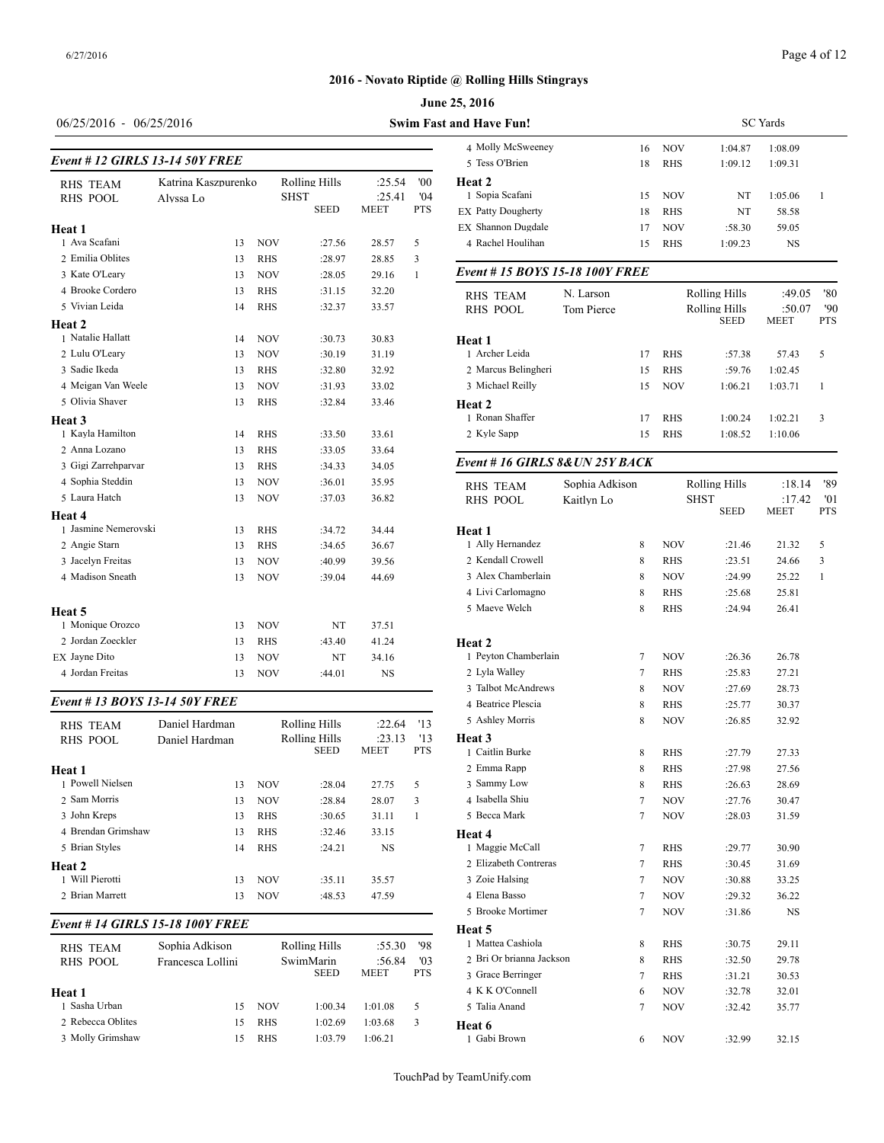#### **June 25, 2016**

# 06/25/2016 - 06/25/2016 **Swim Fast**

| <b>RHS TEAM</b>      | Katrina Kaszpurenko |            | <b>Rolling Hills</b>       | :25.54                | '00               | Heat 2                          |                |            |                      |             |                |
|----------------------|---------------------|------------|----------------------------|-----------------------|-------------------|---------------------------------|----------------|------------|----------------------|-------------|----------------|
| <b>RHS POOL</b>      | Alyssa Lo           |            | <b>SHST</b><br><b>SEED</b> | :25.41<br><b>MEET</b> | '04<br><b>PTS</b> | 1 Sopia Scafani                 | 15             | <b>NOV</b> | NT                   | 1:05.06     | $\overline{1}$ |
|                      |                     |            |                            |                       |                   | <b>EX Patty Dougherty</b>       | 18             | <b>RHS</b> | NT                   | 58.58       |                |
| Heat 1               |                     |            |                            |                       |                   | <b>EX Shannon Dugdale</b>       | 17             | <b>NOV</b> | :58.30               | 59.05       |                |
| 1 Ava Scafani        | 13                  | <b>NOV</b> | :27.56                     | 28.57                 | 5                 | 4 Rachel Houlihan               | 15             | <b>RHS</b> | 1:09.23              | <b>NS</b>   |                |
| 2 Emilia Oblites     | 13                  | <b>RHS</b> | :28.97                     | 28.85                 | $\overline{3}$    | Event #15 BOYS 15-18 100Y FREE  |                |            |                      |             |                |
| 3 Kate O'Leary       | 13                  | <b>NOV</b> | :28.05                     | 29.16                 | $\mathbf{1}$      |                                 |                |            |                      |             |                |
| 4 Brooke Cordero     | 13                  | <b>RHS</b> | :31.15                     | 32.20                 |                   | <b>RHS TEAM</b>                 | N. Larson      |            | Rolling Hills        | :49.05      | '80            |
| 5 Vivian Leida       | 14                  | <b>RHS</b> | :32.37                     | 33.57                 |                   | <b>RHS POOL</b>                 | Tom Pierce     |            | <b>Rolling Hills</b> | :50.07      | '90            |
| Heat 2               |                     |            |                            |                       |                   |                                 |                |            | <b>SEED</b>          | <b>MEET</b> | <b>PTS</b>     |
| 1 Natalie Hallatt    | 14                  | <b>NOV</b> | :30.73                     | 30.83                 |                   | <b>Heat 1</b>                   |                |            |                      |             |                |
| 2 Lulu O'Leary       | 13                  | <b>NOV</b> | :30.19                     | 31.19                 |                   | 1 Archer Leida                  | 17             | <b>RHS</b> | :57.38               | 57.43       | 5              |
| 3 Sadie Ikeda        | 13                  | <b>RHS</b> | :32.80                     | 32.92                 |                   | 2 Marcus Belingheri             | 15             | <b>RHS</b> | :59.76               | 1:02.45     |                |
| 4 Meigan Van Weele   | 13                  | <b>NOV</b> | :31.93                     | 33.02                 |                   | 3 Michael Reilly                | 15             | <b>NOV</b> | 1:06.21              | 1:03.71     | $\overline{1}$ |
| 5 Olivia Shaver      | 13                  | <b>RHS</b> | :32.84                     | 33.46                 |                   | Heat 2                          |                |            |                      |             |                |
| Heat 3               |                     |            |                            |                       |                   | 1 Ronan Shaffer                 | 17             | <b>RHS</b> | 1:00.24              | 1:02.21     | 3              |
| 1 Kayla Hamilton     | 14                  | <b>RHS</b> | :33.50                     | 33.61                 |                   | 2 Kyle Sapp                     | 15             | <b>RHS</b> | 1:08.52              | 1:10.06     |                |
| 2 Anna Lozano        | 13                  | <b>RHS</b> | :33.05                     | 33.64                 |                   |                                 |                |            |                      |             |                |
| 3 Gigi Zarrehparvar  | 13                  | <b>RHS</b> | :34.33                     | 34.05                 |                   | Event # 16 GIRLS 8& UN 25Y BACK |                |            |                      |             |                |
| 4 Sophia Steddin     | 13                  | <b>NOV</b> | :36.01                     | 35.95                 |                   | <b>RHS TEAM</b>                 | Sophia Adkison |            | <b>Rolling Hills</b> | :18.14      | '89            |
| 5 Laura Hatch        | 13                  | <b>NOV</b> | :37.03                     | 36.82                 |                   | <b>RHS POOL</b>                 | Kaitlyn Lo     |            | <b>SHST</b>          | :17.42      | '01            |
| Heat 4               |                     |            |                            |                       |                   |                                 |                |            | <b>SEED</b>          | <b>MEET</b> | <b>PTS</b>     |
| 1 Jasmine Nemerovski | 13                  | <b>RHS</b> | :34.72                     | 34.44                 |                   | Heat 1                          |                |            |                      |             |                |
| 2 Angie Starn        | 13                  | <b>RHS</b> | :34.65                     | 36.67                 |                   | 1 Ally Hernandez                | 8              | <b>NOV</b> | :21.46               | 21.32       | 5              |
| 3 Jacelyn Freitas    | 13                  | <b>NOV</b> | :40.99                     | 39.56                 |                   | 2 Kendall Crowell               | 8              | <b>RHS</b> | :23.51               | 24.66       | 3              |
| 4 Madison Sneath     | 13                  | <b>NOV</b> | :39.04                     | 44.69                 |                   | 3 Alex Chamberlain              | 8              | <b>NOV</b> | :24.99               | 25.22       | $\overline{1}$ |
|                      |                     |            |                            |                       |                   | 4 Livi Carlomagno               | 8              | <b>RHS</b> | :25.68               | 25.81       |                |
| Heat 5               |                     |            |                            |                       |                   | 5 Maeve Welch                   | 8              | <b>RHS</b> | :24.94               | 26.41       |                |
| 1 Monique Orozco     | 13                  | <b>NOV</b> | NT                         | 37.51                 |                   |                                 |                |            |                      |             |                |
| 2 Jordan Zoeckler    | 13                  | <b>RHS</b> | :43.40                     | 41.24                 |                   | Heat 2                          |                |            |                      |             |                |
| <b>EX</b> Jayne Dito | 13                  | <b>NOV</b> | NT                         | 34.16                 |                   | 1 Pevton Chamberlain            | 7              | <b>NOV</b> | :26.36               | 26.78       |                |
| 4 Jordan Freitas     | 13                  | <b>NOV</b> | :44.01                     | <b>NS</b>             |                   | 2 Lyla Walley                   | 7              | <b>RHS</b> | :25.83               | 27.21       |                |
|                      |                     |            |                            |                       |                   |                                 |                |            |                      |             |                |

#### *Event # 13 BOYS 13-14 50Y FREE*

| <b>RHS TEAM</b>    | Daniel Hardman |            | Rolling Hills                | :22.64                 | 13               | 5 Ashley Morris           |
|--------------------|----------------|------------|------------------------------|------------------------|------------------|---------------------------|
| <b>RHS POOL</b>    | Daniel Hardman |            | Rolling Hills<br><b>SEED</b> | : 23.13<br><b>MEET</b> | 13<br><b>PTS</b> | Heat 3<br>1 Caitlin Burke |
| Heat 1             |                |            |                              |                        |                  | 2 Emma Rapp               |
| 1 Powell Nielsen   | 13             | <b>NOV</b> | :28.04                       | 27.75                  | 5                | 3 Sammy Low               |
| 2 Sam Morris       | 13             | <b>NOV</b> | :28.84                       | 28.07                  | 3                | 4 Isabella Shiu           |
| 3 John Kreps       | 13             | <b>RHS</b> | :30.65                       | 31.11                  | 1                | 5 Becca Mark              |
| 4 Brendan Grimshaw | 13             | <b>RHS</b> | :32.46                       | 33.15                  |                  | Heat 4                    |
| 5 Brian Styles     | 14             | <b>RHS</b> | :24.21                       | NS                     |                  | 1 Maggie McCall           |
| Heat 2             |                |            |                              |                        |                  | 2 Elizabeth Contre        |
| Will Pierotti      | 13             | <b>NOV</b> | :35.11                       | 35.57                  |                  | 3 Zoie Halsing            |
| 2 Brian Marrett    | 13             | <b>NOV</b> | :48.53                       | 47.59                  |                  | 4 Elena Basso             |

# *Event # 14 GIRLS 15-18 100Y FREE*

| <b>RHS TEAM</b><br>RHS POOL | Sophia Adkison<br>Francesca Lollini |            | Rolling Hills<br>SwimMarin<br><b>SEED</b> | :55.30<br>:56.84<br><b>MEET</b> | '98<br>$^{\prime}$ 03<br><b>PTS</b> | 1 Mattea Cashiola<br>2 Bri Or brianna J |
|-----------------------------|-------------------------------------|------------|-------------------------------------------|---------------------------------|-------------------------------------|-----------------------------------------|
| Heat 1                      |                                     |            |                                           |                                 |                                     | 3 Grace Berringer<br>4 K K O'Connell    |
| 1 Sasha Urban               | 15                                  | <b>NOV</b> | 1:00.34                                   | 1:01.08                         | 5                                   | 5 Talia Anand                           |
| 2 Rebecca Oblites           | 15                                  | <b>RHS</b> | 1:02.69                                   | 1:03.68                         | 3                                   | <b>Heat 6</b>                           |
| 3 Molly Grimshaw            | 15                                  | <b>RHS</b> | 1:03.79                                   | 1:06.21                         |                                     | 1 Gabi Brown                            |

| and Have Fun!             | <b>SC</b> Yards |            |         |            |  |  |  |  |
|---------------------------|-----------------|------------|---------|------------|--|--|--|--|
| 4 Molly McSweeney         | 16              | <b>NOV</b> | 1:04.87 | 1:08.09    |  |  |  |  |
| 5 Tess O'Brien            | 18              | <b>RHS</b> | 1:09.12 | 1:09.31    |  |  |  |  |
| Heat 2                    |                 |            |         |            |  |  |  |  |
| 1 Sopia Scafani           | 15              | <b>NOV</b> | NT      | 1:05.06    |  |  |  |  |
| <b>EX Patty Dougherty</b> | 18              | <b>RHS</b> | NT      | 58.58      |  |  |  |  |
| <b>EX Shannon Dugdale</b> | 17              | <b>NOV</b> | :58.30  | 59.05      |  |  |  |  |
| 4 Rachel Houliban         |                 | $15$ DIIC  | 1.00.22 | <b>NIC</b> |  |  |  |  |

#### *Event # 15 BOYS 15-18 100Y FREE*

| RHS TEAM            | N. Larson  |    |            | Rolling Hills | :49.05      | '80        |  |
|---------------------|------------|----|------------|---------------|-------------|------------|--|
| <b>RHS POOL</b>     | Tom Pierce |    |            | Rolling Hills | :50.07      | '90        |  |
|                     |            |    |            | <b>SEED</b>   | <b>MEET</b> | <b>PTS</b> |  |
| Heat 1              |            |    |            |               |             |            |  |
| 1 Archer Leida      |            | 17 | <b>RHS</b> | :57.38        | 57.43       | 5          |  |
| 2 Marcus Belingheri |            | 15 | <b>RHS</b> | :59.76        | 1:02.45     |            |  |
| 3 Michael Reilly    |            | 15 | <b>NOV</b> | 1:06.21       | 1:03.71     |            |  |
| <b>Heat 2</b>       |            |    |            |               |             |            |  |
| 1 Ronan Shaffer     |            | 17 | <b>RHS</b> | 1:00.24       | 1:02.21     | 3          |  |
| 2 Kyle Sapp         |            | 15 | <b>RHS</b> | 1:08.52       | 1:10.06     |            |  |
|                     |            |    |            |               |             |            |  |

# *Event # 16 GIRLS 8&UN 25Y BACK*

| <b>RHS TEAM</b>          | Sophia Adkison |            | <b>Rolling Hills</b>       | :18.14                | '89               |
|--------------------------|----------------|------------|----------------------------|-----------------------|-------------------|
| <b>RHS POOL</b>          | Kaitlyn Lo     |            | <b>SHST</b><br><b>SEED</b> | :17.42<br><b>MEET</b> | '01<br><b>PTS</b> |
| Heat 1                   |                |            |                            |                       |                   |
| 1 Ally Hernandez         | 8              | <b>NOV</b> | :21.46                     | 21.32                 | 5                 |
| 2 Kendall Crowell        | 8              | <b>RHS</b> | :23.51                     | 24.66                 | 3                 |
| 3 Alex Chamberlain       | 8              | <b>NOV</b> | :24.99                     | 25.22                 | 1                 |
| 4 Livi Carlomagno        | 8              | <b>RHS</b> | :25.68                     | 25.81                 |                   |
| 5 Maeve Welch            | 8              | <b>RHS</b> | :24.94                     | 26.41                 |                   |
| <b>Heat 2</b>            |                |            |                            |                       |                   |
| 1 Peyton Chamberlain     | 7              | <b>NOV</b> | :26.36                     | 26.78                 |                   |
| 2 Lyla Walley            | 7              | <b>RHS</b> | :25.83                     | 27.21                 |                   |
| 3 Talbot McAndrews       | 8              | <b>NOV</b> | :27.69                     | 28.73                 |                   |
| 4 Beatrice Plescia       | 8              | <b>RHS</b> | :25.77                     | 30.37                 |                   |
| 5 Ashley Morris          | 8              | <b>NOV</b> | :26.85                     | 32.92                 |                   |
| <b>Heat 3</b>            |                |            |                            |                       |                   |
| 1 Caitlin Burke          | 8              | <b>RHS</b> | :27.79                     | 27.33                 |                   |
| 2 Emma Rapp              | 8              | <b>RHS</b> | :27.98                     | 27.56                 |                   |
| 3 Sammy Low              | 8              | <b>RHS</b> | :26.63                     | 28.69                 |                   |
| 4 Isabella Shiu          | 7              | <b>NOV</b> | :27.76                     | 30.47                 |                   |
| 5 Becca Mark             | 7              | <b>NOV</b> | :28.03                     | 31.59                 |                   |
| <b>Heat 4</b>            |                |            |                            |                       |                   |
| 1 Maggie McCall          | 7              | <b>RHS</b> | :29.77                     | 30.90                 |                   |
| 2 Elizabeth Contreras    | 7              | <b>RHS</b> | :30.45                     | 31.69                 |                   |
| 3 Zoie Halsing           | $\tau$         | <b>NOV</b> | :30.88                     | 33.25                 |                   |
| 4 Elena Basso            | $\overline{7}$ | <b>NOV</b> | :29.32                     | 36.22                 |                   |
| 5 Brooke Mortimer        | 7              | <b>NOV</b> | :31.86                     | $_{\rm NS}$           |                   |
| <b>Heat 5</b>            |                |            |                            |                       |                   |
| 1 Mattea Cashiola        | 8              | <b>RHS</b> | :30.75                     | 29.11                 |                   |
| 2 Bri Or brianna Jackson | 8              | <b>RHS</b> | :32.50                     | 29.78                 |                   |
| 3 Grace Berringer        | 7              | <b>RHS</b> | :31.21                     | 30.53                 |                   |
| 4 K K O'Connell          | 6              | <b>NOV</b> | :32.78                     | 32.01                 |                   |
| 5 Talia Anand            | 7              | <b>NOV</b> | :32.42                     | 35.77                 |                   |
| <b>Heat 6</b>            |                |            |                            |                       |                   |
| 1 Gabi Brown             | 6              | <b>NOV</b> | :32.99                     | 32.15                 |                   |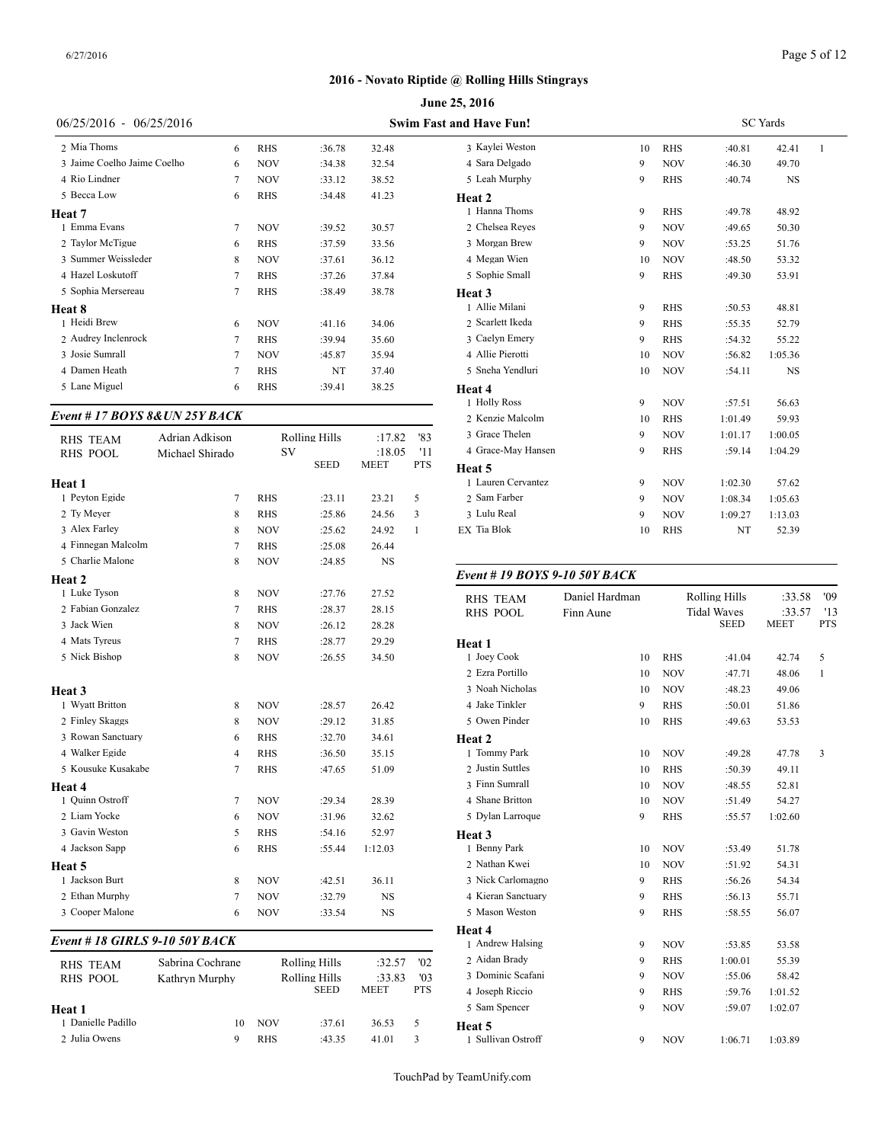|                               |                 |            |                      |             |            | June 25, 2016                    |
|-------------------------------|-----------------|------------|----------------------|-------------|------------|----------------------------------|
| $06/25/2016$ -                | 06/25/2016      |            |                      |             |            | <b>Swim Fast and Have Fun!</b>   |
| 2 Mia Thoms                   | 6               | <b>RHS</b> | :36.78               | 32.48       |            | 3 Kaylei Weston                  |
| 3 Jaime Coelho Jaime Coelho   | 6               | <b>NOV</b> | :34.38               | 32.54       |            | 4 Sara Delgado                   |
| 4 Rio Lindner                 | 7               | <b>NOV</b> | :33.12               | 38.52       |            | 5 Leah Murphy                    |
| 5 Becca Low                   | 6               | <b>RHS</b> | :34.48               | 41.23       |            | Heat 2                           |
| Heat 7                        |                 |            |                      |             |            | 1 Hanna Thoms                    |
| 1 Emma Evans                  | 7               | <b>NOV</b> | :39.52               | 30.57       |            | 2 Chelsea Reyes                  |
| 2 Taylor McTigue              | 6               | <b>RHS</b> | :37.59               | 33.56       |            | 3 Morgan Brew                    |
| 3 Summer Weissleder           | 8               | <b>NOV</b> | :37.61               | 36.12       |            | 4 Megan Wien                     |
| 4 Hazel Loskutoff             | 7               | <b>RHS</b> | :37.26               | 37.84       |            | 5 Sophie Small                   |
| 5 Sophia Mersereau            | 7               | <b>RHS</b> | :38.49               | 38.78       |            | Heat <sub>3</sub>                |
| <b>Heat 8</b>                 |                 |            |                      |             |            | 1 Allie Milani                   |
| 1 Heidi Brew                  | 6               | <b>NOV</b> | :41.16               | 34.06       |            | 2 Scarlett Ikeda                 |
| 2 Audrey Inclenrock           | 7               | <b>RHS</b> | :39.94               | 35.60       |            | 3 Caelyn Emery                   |
| 3 Josie Sumrall               | 7               | <b>NOV</b> | :45.87               | 35.94       |            | 4 Allie Pierotti                 |
| 4 Damen Heath                 | 7               | <b>RHS</b> | NT                   | 37.40       |            | 5 Sneha Yendluri                 |
| 5 Lane Miguel                 | 6               | <b>RHS</b> | :39.41               | 38.25       |            | Heat 4                           |
| Event # 17 BOYS 8&UN 25Y BACK |                 |            |                      |             |            | 1 Holly Ross<br>2 Kenzie Malcolm |
| <b>RHS TEAM</b>               | Adrian Adkison  |            | <b>Rolling Hills</b> | :17.82      | '83        | 3 Grace Thelen                   |
| <b>RHS POOL</b>               | Michael Shirado | SV         |                      | :18.05      | '11        | 4 Grace-May Hansen               |
|                               |                 |            | <b>SEED</b>          | <b>MEET</b> | <b>PTS</b> | Heat 5                           |
| Heat 1                        |                 |            |                      |             |            | 1 Lauren Cervantez               |
| 1 Peyton Egide                | 7               | <b>RHS</b> | :23.11               | 23.21       | 5          | 2 Sam Farber                     |
| 2 Ty Meyer                    | 8               | <b>RHS</b> | :25.86               | 24.56       | 3          | 3 Lulu Real                      |

|                    |                |            | SEED   | MEE 1     | 14 P         | Heat 5         |
|--------------------|----------------|------------|--------|-----------|--------------|----------------|
| Heat 1             |                |            |        |           |              | 1 Lauren Co    |
| 1 Peyton Egide     | 7              | <b>RHS</b> | :23.11 | 23.21     | 5            | 2 Sam Farb     |
| 2 Ty Meyer         | 8              | <b>RHS</b> | :25.86 | 24.56     | 3            | 3 Lulu Real    |
| 3 Alex Farley      | 8              | <b>NOV</b> | :25.62 | 24.92     | $\mathbf{1}$ | EX Tia Blok    |
| 4 Finnegan Malcolm | 7              | <b>RHS</b> | :25.08 | 26.44     |              |                |
| 5 Charlie Malone   | 8              | <b>NOV</b> | :24.85 | <b>NS</b> |              |                |
| Heat 2             |                |            |        |           |              | Event # $19$   |
| 1 Luke Tyson       | 8              | <b>NOV</b> | :27.76 | 27.52     |              | <b>RHS TEA</b> |
| 2 Fabian Gonzalez  | 7              | <b>RHS</b> | :28.37 | 28.15     |              | <b>RHS POO</b> |
| 3 Jack Wien        | 8              | <b>NOV</b> | :26.12 | 28.28     |              |                |
| 4 Mats Tyreus      | 7              | <b>RHS</b> | :28.77 | 29.29     |              | Heat 1         |
| 5 Nick Bishop      | 8              | <b>NOV</b> | :26.55 | 34.50     |              | 1 Joey Cool    |
|                    |                |            |        |           |              | 2 Ezra Porti   |
| Heat 3             |                |            |        |           |              | 3 Noah Nic     |
| 1 Wyatt Britton    | 8              | <b>NOV</b> | :28.57 | 26.42     |              | 4 Jake Tink    |
| 2 Finley Skaggs    | 8              | <b>NOV</b> | :29.12 | 31.85     |              | 5 Owen Pin     |
| 3 Rowan Sanctuary  | 6              | <b>RHS</b> | :32.70 | 34.61     |              | Heat 2         |
| 4 Walker Egide     | $\overline{4}$ | <b>RHS</b> | :36.50 | 35.15     |              | 1 Tommy P      |
| 5 Kousuke Kusakabe | 7              | <b>RHS</b> | :47.65 | 51.09     |              | 2 Justin Sut   |
| Heat 4             |                |            |        |           |              | 3 Finn Sum     |
| 1 Quinn Ostroff    | 7              | <b>NOV</b> | :29.34 | 28.39     |              | 4 Shane Bri    |
| 2 Liam Yocke       | 6              | <b>NOV</b> | :31.96 | 32.62     |              | 5 Dylan Lar    |
| 3 Gavin Weston     | 5              | <b>RHS</b> | :54.16 | 52.97     |              | Heat 3         |
| 4 Jackson Sapp     | 6              | <b>RHS</b> | :55.44 | 1:12.03   |              | 1 Benny Pa     |
| Heat 5             |                |            |        |           |              | 2 Nathan K     |
| 1 Jackson Burt     | 8              | <b>NOV</b> | :42.51 | 36.11     |              | 3 Nick Carl    |
| 2 Ethan Murphy     | 7              | <b>NOV</b> | :32.79 | <b>NS</b> |              | 4 Kieran Sa    |
| 3 Cooper Malone    | 6              | <b>NOV</b> | :33.54 | <b>NS</b> |              | 5 Mason W      |

#### *Event # 18 GIRLS 9-10 50Y BACK*

| RHS TEAM<br>RHS POOL | Sabrina Cochrane<br>Kathryn Murphy |            | Rolling Hills<br>Rolling Hills<br><b>SEED</b> | :32.57<br>:33.83<br><b>MEET</b> | '02<br>$^{\prime}$ 03<br><b>PTS</b> | 2 Aidan Brady<br>3 Dominic Scafan<br>4 Joseph Riccio |
|----------------------|------------------------------------|------------|-----------------------------------------------|---------------------------------|-------------------------------------|------------------------------------------------------|
| Heat 1               |                                    |            |                                               |                                 |                                     | 5 Sam Spencer                                        |
| 1 Danielle Padillo   | 10                                 | <b>NOV</b> | :37.61                                        | 36.53                           | -5                                  | Heat 5                                               |
| 2 Julia Owens        | 9                                  | <b>RHS</b> | :43.35                                        | 41.01                           | 3                                   | 1 Sullivan Ostroff                                   |

| <b>nd Have Fun!</b> |    |            |         | <b>SC</b> Yards |              |
|---------------------|----|------------|---------|-----------------|--------------|
| 3 Kaylei Weston     | 10 | <b>RHS</b> | :40.81  | 42.41           | $\mathbf{1}$ |
| 4 Sara Delgado      | 9  | <b>NOV</b> | :46.30  | 49.70           |              |
| 5 Leah Murphy       | 9  | <b>RHS</b> | :40.74  | NS              |              |
| Heat 2              |    |            |         |                 |              |
| 1 Hanna Thoms       | 9  | <b>RHS</b> | :49.78  | 48.92           |              |
| 2 Chelsea Reyes     | 9  | <b>NOV</b> | :49.65  | 50.30           |              |
| 3 Morgan Brew       | 9  | <b>NOV</b> | :53.25  | 51.76           |              |
| 4 Megan Wien        | 10 | <b>NOV</b> | :48.50  | 53.32           |              |
| 5 Sophie Small      | 9  | <b>RHS</b> | :49.30  | 53.91           |              |
| Heat 3              |    |            |         |                 |              |
| 1 Allie Milani      | 9  | <b>RHS</b> | :50.53  | 48.81           |              |
| 2 Scarlett Ikeda    | 9  | <b>RHS</b> | :55.35  | 52.79           |              |
| 3 Caelyn Emery      | 9  | <b>RHS</b> | :54.32  | 55.22           |              |
| 4 Allie Pierotti    | 10 | <b>NOV</b> | :56.82  | 1:05.36         |              |
| 5 Sneha Yendluri    | 10 | <b>NOV</b> | :54.11  | <b>NS</b>       |              |
| Heat 4              |    |            |         |                 |              |
| 1 Holly Ross        | 9  | <b>NOV</b> | :57.51  | 56.63           |              |
| 2 Kenzie Malcolm    | 10 | <b>RHS</b> | 1:01.49 | 59.93           |              |
| 3 Grace Thelen      | 9  | <b>NOV</b> | 1:01.17 | 1:00.05         |              |
| 4 Grace-May Hansen  | 9  | <b>RHS</b> | :59.14  | 1:04.29         |              |
| Heat 5              |    |            |         |                 |              |
| 1 Lauren Cervantez  | 9  | <b>NOV</b> | 1:02.30 | 57.62           |              |
| 2 Sam Farber        | 9  | <b>NOV</b> | 1:08.34 | 1:05.63         |              |
| 3 Lulu Real         | 9  | <b>NOV</b> | 1:09.27 | 1:13.03         |              |
| EX Tia Blok         | 10 | <b>RHS</b> | NT      | 52.39           |              |
|                     |    |            |         |                 |              |

# *Event # 19 BOYS 9-10 50Y BACK*

| <b>RHS TEAM</b>    | Daniel Hardman |            | <b>Rolling Hills</b>              | :33.58                | '09               |
|--------------------|----------------|------------|-----------------------------------|-----------------------|-------------------|
| <b>RHS POOL</b>    | Finn Aune      |            | <b>Tidal Waves</b><br><b>SEED</b> | :33.57<br><b>MEET</b> | '13<br><b>PTS</b> |
| Heat 1             |                |            |                                   |                       |                   |
| 1 Joey Cook        | 10             | <b>RHS</b> | :41.04                            | 42.74                 | 5                 |
| 2 Ezra Portillo    | 10             | <b>NOV</b> | :47.71                            | 48.06                 | 1                 |
| 3 Noah Nicholas    | 10             | <b>NOV</b> | :48.23                            | 49.06                 |                   |
| 4 Jake Tinkler     | 9              | <b>RHS</b> | :50.01                            | 51.86                 |                   |
| 5 Owen Pinder      | 10             | <b>RHS</b> | :49.63                            | 53.53                 |                   |
| Heat 2             |                |            |                                   |                       |                   |
| 1 Tommy Park       | 10             | <b>NOV</b> | :49.28                            | 47.78                 | 3                 |
| 2 Justin Suttles   | 10             | <b>RHS</b> | :50.39                            | 49.11                 |                   |
| 3 Finn Sumrall     | 10             | <b>NOV</b> | :48.55                            | 52.81                 |                   |
| 4 Shane Britton    | 10             | <b>NOV</b> | :51.49                            | 54.27                 |                   |
| 5 Dylan Larroque   | 9              | <b>RHS</b> | :55.57                            | 1:02.60               |                   |
| Heat 3             |                |            |                                   |                       |                   |
| 1 Benny Park       | 10             | <b>NOV</b> | :53.49                            | 51.78                 |                   |
| 2 Nathan Kwei      | 10             | <b>NOV</b> | :51.92                            | 54.31                 |                   |
| 3 Nick Carlomagno  | 9              | <b>RHS</b> | :56.26                            | 54.34                 |                   |
| 4 Kieran Sanctuary | 9              | <b>RHS</b> | :56.13                            | 55.71                 |                   |
| 5 Mason Weston     | 9              | <b>RHS</b> | :58.55                            | 56.07                 |                   |
| <b>Heat 4</b>      |                |            |                                   |                       |                   |
| 1 Andrew Halsing   | 9              | <b>NOV</b> | :53.85                            | 53.58                 |                   |
| 2 Aidan Bradv      | 9              | <b>RHS</b> | 1:00.01                           | 55.39                 |                   |
| 3 Dominic Scafani  | 9              | <b>NOV</b> | :55.06                            | 58.42                 |                   |
| 4 Joseph Riccio    | 9              | <b>RHS</b> | :59.76                            | 1:01.52               |                   |
| 5 Sam Spencer      | 9              | <b>NOV</b> | :59.07                            | 1:02.07               |                   |
| Heat 5             |                |            |                                   |                       |                   |
| 1 Sullivan Ostroff | 9              | <b>NOV</b> | 1:06.71                           | 1:03.89               |                   |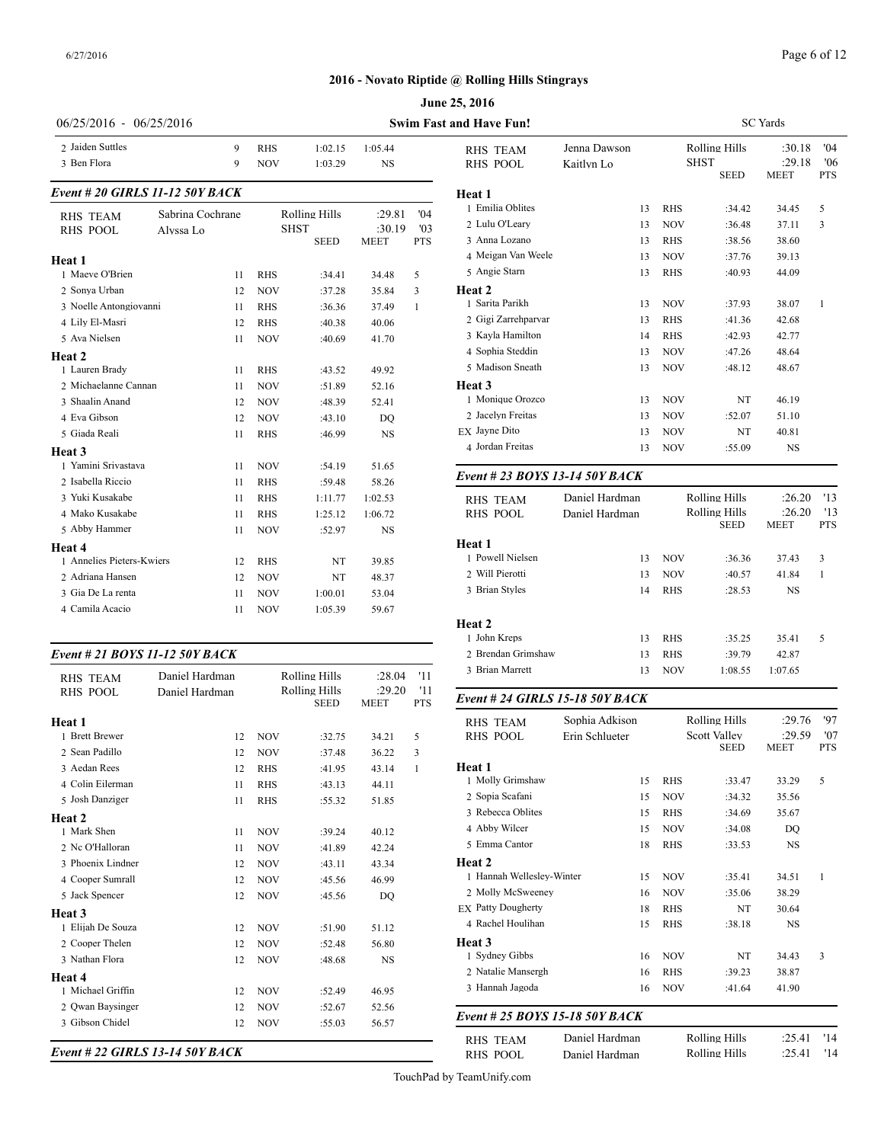#### Page 6 of 12

SC Yards

# **June 25, 2016 2016 - Novato Riptide @ Rolling Hills Stingrays**

| 06/25/2016 - 06/25/2016                      |                               |        |                          |                                                    |                                 |                          | <b>Swim Fast and Have Fun!</b>                                         |
|----------------------------------------------|-------------------------------|--------|--------------------------|----------------------------------------------------|---------------------------------|--------------------------|------------------------------------------------------------------------|
| 2 Jaiden Suttles<br>3 Ben Flora              |                               | 9<br>9 | <b>RHS</b><br><b>NOV</b> | 1:02.15<br>1:03.29                                 | 1:05.44<br><b>NS</b>            |                          | <b>RHS TEAM</b><br><b>RHS POOL</b>                                     |
| Event # 20 GIRLS 11-12 50Y BACK              |                               |        |                          |                                                    |                                 |                          | Heat 1                                                                 |
| <b>RHS TEAM</b><br><b>RHS POOL</b><br>Heat 1 | Sabrina Cochrane<br>Alvssa Lo |        |                          | <b>Rolling Hills</b><br><b>SHST</b><br><b>SEED</b> | :29.81<br>:30.19<br><b>MEET</b> | 04'<br>'03<br><b>PTS</b> | 1 Emilia Oblites<br>2 Lulu O'Leary<br>3 Anna Lozano<br>4 Meigan Van We |
| 1 Maeve O'Brien                              |                               | 11     | RHS                      | :34.41                                             | 34.48                           | 5                        | 5 Angie Starn                                                          |
| 2 Sonya Urban                                |                               | 12     | <b>NOV</b>               | :37.28                                             | 35.84                           | 3                        | <b>Heat 2</b>                                                          |
| 3 Noelle Antongiovanni                       |                               | 11     | RHS                      | :36.36                                             | 37.49                           | 1                        | 1 Sarita Parikh                                                        |
| 4 Lily El-Masri                              |                               | 12     | RHS                      | :40.38                                             | 40.06                           |                          | 2 Gigi Zarrehparv                                                      |
| 5 Ava Nielsen                                |                               | 11     | NOV                      | :40.69                                             | 41.70                           |                          | 3 Kayla Hamilton                                                       |
| Heat 2                                       |                               |        |                          |                                                    |                                 |                          | 4 Sophia Steddin                                                       |
| 1 Lauren Brady                               |                               | 11     | RHS                      | :43.52                                             | 49.92                           |                          | 5 Madison Sneath                                                       |
| 2 Michaelanne Cannan                         |                               | 11     | NOV                      | :51.89                                             | 52.16                           |                          | Heat 3                                                                 |
| 3 Shaalin Anand                              |                               | 12     | NOV                      | :48.39                                             | 52.41                           |                          | 1 Monique Orozco                                                       |
| 4 Eva Gibson                                 |                               | 12     | <b>NOV</b>               | :43.10                                             | DO                              |                          | 2 Jacelyn Freitas                                                      |
| 5 Giada Reali                                |                               | 11     | <b>RHS</b>               | :46.99                                             | <b>NS</b>                       |                          | EX Jayne Dito                                                          |
| Heat 3                                       |                               |        |                          |                                                    |                                 |                          | 4 Jordan Freitas                                                       |
| 1 Yamini Srivastava                          |                               | 11     | <b>NOV</b>               | :54.19                                             | 51.65                           |                          |                                                                        |
| 2 Isabella Riccio                            |                               | 11     | RHS                      | :59.48                                             | 58.26                           |                          | Event # 23 BOY                                                         |
| 3 Yuki Kusakabe                              |                               | 11     | RHS                      | 1:11.77                                            | 1:02.53                         |                          | <b>RHS TEAM</b>                                                        |
| 4 Mako Kusakabe                              |                               | 11     | <b>RHS</b>               | 1:25.12                                            | 1:06.72                         |                          | <b>RHS POOL</b>                                                        |
| 5 Abby Hammer                                |                               | 11     | NOV                      | :52.97                                             | NS                              |                          |                                                                        |
| Heat 4                                       |                               |        |                          |                                                    |                                 |                          | <b>Heat 1</b>                                                          |
| 1 Annelies Pieters-Kwiers                    |                               | 12     | RHS                      | NT                                                 | 39.85                           |                          | 1 Powell Nielsen                                                       |
| 2 Adriana Hansen                             |                               | 12     | <b>NOV</b>               | NT                                                 | 48.37                           |                          | 2 Will Pierotti                                                        |
| 3 Gia De La renta                            |                               | 11     | NOV                      | 1:00.01                                            | 53.04                           |                          | 3 Brian Styles                                                         |
| 4 Camila Acacio                              |                               | 11     | <b>NOV</b>               | 1:05.39                                            | 59.67                           |                          |                                                                        |
| Event # 21 BOYS 11-12 50Y BACK               |                               |        |                          |                                                    |                                 |                          | Heat 2<br>1 John Kreps<br>2 Brendan Grimsh                             |
|                                              | Daniel Hardman                |        |                          | <b>Rolling Hills</b>                               | :28.04                          | '11                      | 3 Brian Marrett                                                        |
| <b>RHS TEAM</b><br>RHS POOL                  | Daniel Hardman                |        |                          | Rolling Hills                                      | :29.20                          | '11                      |                                                                        |
|                                              |                               |        |                          |                                                    |                                 |                          |                                                                        |

| 1.111             |                |            |                              |                       |                   |                                 |                |    |            |                     |             |
|-------------------|----------------|------------|------------------------------|-----------------------|-------------------|---------------------------------|----------------|----|------------|---------------------|-------------|
| <b>RHS POOL</b>   | Daniel Hardman |            | Rolling Hills<br><b>SEED</b> | :29.20<br><b>MEET</b> | '11<br><b>PTS</b> | Event # 24 GIRLS 15-18 50Y BACK |                |    |            |                     |             |
| Heat 1            |                |            |                              |                       |                   | <b>RHS TEAM</b>                 | Sophia Adkison |    |            | Rolling Hills       | :29.76      |
| 1 Brett Brewer    | 12             | <b>NOV</b> | :32.75                       | 34.21                 | 5                 | <b>RHS POOL</b>                 | Erin Schlueter |    |            | <b>Scott Valley</b> | :29.59      |
| 2 Sean Padillo    | 12             | <b>NOV</b> | :37.48                       | 36.22                 | 3                 |                                 |                |    |            | <b>SEED</b>         | <b>MEET</b> |
| 3 Aedan Rees      | 12             | <b>RHS</b> | :41.95                       | 43.14                 | 1                 | Heat 1                          |                |    |            |                     |             |
| 4 Colin Eilerman  | 11             | <b>RHS</b> | :43.13                       | 44.11                 |                   | 1 Molly Grimshaw                |                | 15 | <b>RHS</b> | :33.47              | 33.29       |
| 5 Josh Danziger   | 11             | <b>RHS</b> | :55.32                       | 51.85                 |                   | 2 Sopia Scafani                 |                | 15 | <b>NOV</b> | :34.32              | 35.56       |
| Heat 2            |                |            |                              |                       |                   | 3 Rebecca Oblites               |                | 15 | <b>RHS</b> | :34.69              | 35.67       |
| 1 Mark Shen       | 11             | <b>NOV</b> | :39.24                       | 40.12                 |                   | 4 Abby Wilcer                   |                | 15 | <b>NOV</b> | :34.08              | DQ          |
| 2 Nc O'Halloran   | 11             | <b>NOV</b> | :41.89                       | 42.24                 |                   | 5 Emma Cantor                   |                | 18 | <b>RHS</b> | :33.53              | NS          |
| 3 Phoenix Lindner | 12             | <b>NOV</b> | :43.11                       | 43.34                 |                   | Heat 2                          |                |    |            |                     |             |
| 4 Cooper Sumrall  | 12             | <b>NOV</b> | :45.56                       | 46.99                 |                   | 1 Hannah Wellesley-Winter       |                | 15 | <b>NOV</b> | :35.41              | 34.51       |
| 5 Jack Spencer    | 12             | <b>NOV</b> | :45.56                       | DQ                    |                   | 2 Molly McSweeney               |                | 16 | <b>NOV</b> | :35.06              | 38.29       |
| Heat 3            |                |            |                              |                       |                   | <b>EX Patty Dougherty</b>       |                | 18 | <b>RHS</b> | NT                  | 30.64       |
| 1 Elijah De Souza | 12             | <b>NOV</b> | :51.90                       | 51.12                 |                   | 4 Rachel Houlihan               |                | 15 | <b>RHS</b> | :38.18              | <b>NS</b>   |
| 2 Cooper Thelen   | 12             | <b>NOV</b> | :52.48                       | 56.80                 |                   | Heat 3                          |                |    |            |                     |             |
| 3 Nathan Flora    | 12             | <b>NOV</b> | :48.68                       | NS                    |                   | 1 Sydney Gibbs                  |                | 16 | <b>NOV</b> | NT                  | 34.43       |
| Heat 4            |                |            |                              |                       |                   | 2 Natalie Mansergh              |                | 16 | <b>RHS</b> | :39.23              | 38.87       |
| 1 Michael Griffin | 12             | <b>NOV</b> | :52.49                       | 46.95                 |                   | 3 Hannah Jagoda                 |                | 16 | <b>NOV</b> | :41.64              | 41.90       |
| 2 Owan Baysinger  | 12             | <b>NOV</b> | :52.67                       | 52.56                 |                   |                                 |                |    |            |                     |             |
| 3 Gibson Chidel   | 12             | <b>NOV</b> | :55.03                       | 56.57                 |                   | Event # 25 BOYS 15-18 50Y BACK  |                |    |            |                     |             |
|                   |                |            |                              |                       |                   | <b>RHS TEAM</b>                 | Daniel Hardman |    |            | Rolling Hills       | :25.41      |

SEED MEET PTS 3 Anna Lozano 13 RHS :38.56 38.60 RHS TEAM Jenna Dawson Rolling Hills :30.18 '04<br>RHS POOL Kaitlyn Lo SHST :29.18 '06 RHS POOL Kaitlyn Lo SHST :29.18 '06<br>SEED MEET PTS **MEET Heat 1** 1 Emilia Oblites 13 RHS :34.42 34.45 5 2 Lulu O'Leary 13 NOV :36.48 37.11 3 4 Meigan Van Weele 13 NOV :37.76 39.13 5 Angie Starn 13 RHS :40.93 44.09 **Heat 2** 1 Sarita Parikh 13 NOV :37.93 38.07 1 2 Gigi Zarrehparvar 13 RHS :41.36 42.68 3 Kayla Hamilton 14 RHS :42.93 42.77 4 Sophia Steddin 13 NOV :47.26 48.64 5 Madison Sneath 13 NOV :48.12 48.67 **Heat 3** 1 Monique Orozco 13 NOV NT 46.19 2 Jacelyn Freitas 13 NOV :52.07 51.10 EX Jayne Dito 13 NOV NT 40.81 4 Jordan Freitas 13 NOV :55.09 NS *Event # 23 BOYS 13-14 50Y BACK* RHS TEAM Daniel Hardman Rolling Hills :26.20 '13<br>RHS POOL Daniel Hardman Rolling Hills :26.20 '13 RHS POOL Daniel Hardman Rolling Hills :26.20 '13<br>SEED MEET PTS MEET **Heat 1** 1 Powell Nielsen 13 NOV :36.36 37.43 3 2 Will Pierotti 13 NOV :40.57 41.84 1 3 Brian Styles 14 RHS :28.53 NS **Heat 2** 1 John Kreps 13 RHS :35.25 35.41 5 2 Brendan Grimshaw 13 RHS :39.79 42.87 3 Brian Marrett 13 NOV 1:08.55 1:07.65 RHS TEAM Sophia Adkison Rolling Hills :29.76 '97<br>RHS POOL Erin Schlueter Scott Valley :29.59 '07 Erin Schlueter Scott Valley :29.59 '07<br>SEED MEET PTS **MEET Heat 1** 1 Molly Grimshaw 15 RHS :33.47 33.29 5 2 Sopia Scafani 15 NOV :34.32 35.56 3 Rebecca Oblites 15 RHS :34.69 35.67 4 Abby Wilcer 15 NOV :34.08 DQ 5 Emma Cantor 18 RHS :33.53 NS **Heat 2** 1 Hannah Wellesley-Winter 15 NOV :35.41 34.51 1 2 Molly McSweeney 16 NOV :35.06 38.29 EX Patty Dougherty 18 RHS NT 30.64 4 Rachel Houlihan 15 RHS :38.18 NS **Heat 3** 1 Sydney Gibbs 16 NOV NT 34.43 3 2 Natalie Mansergh 16 RHS :39.23 38.87 3 Hannah Jagoda 16 NOV :41.64 41.90 *Event # 25 BOYS 15-18 50Y BACK* RHS TEAM Daniel Hardman Rolling Hills :25.41 '14<br>RHS POOL Daniel Hardman Rolling Hills :25.41 '14

*Event # 22 GIRLS 13-14 50Y BACK*

TouchPad by TeamUnify.com

RHS\_POOL Daniel Hardman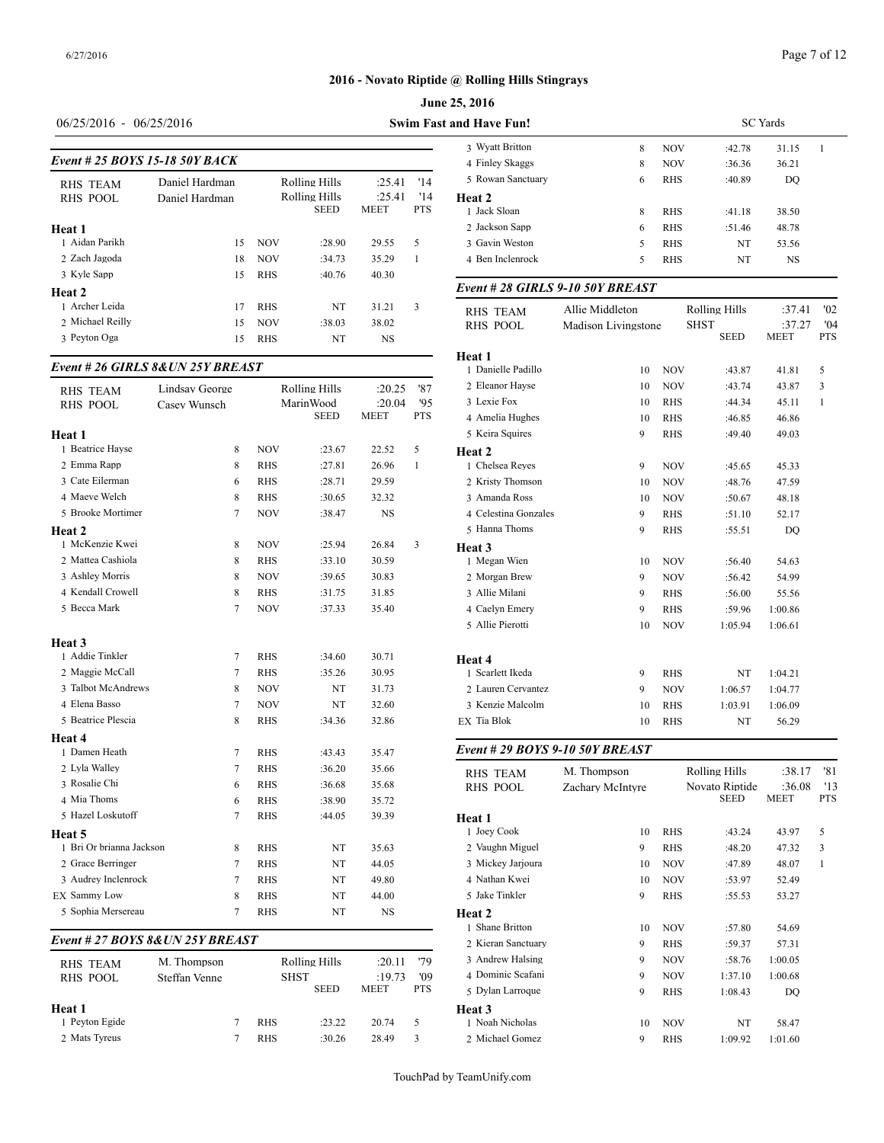# **June 25, 2016 2016 - Novato Riptide @ Rolling Hills Stingrays**

# Page 7 of 12

# 06/25/2016 - 06/25/2016 **Swim Fast and Have Funding Swim Fast and Have Funding Swim Fast and Have Funding Swim Fast and Have Funding Swim Fast and Have Funding Swim Fast and Have Funding Swim Fast and Have Funding Swim Fas**

|  | J0/23/2010 - U0/23/2010 |  |
|--|-------------------------|--|
|  |                         |  |

|                  |                                |            |                              |                       |                   | 3 Wyatt Britton        |
|------------------|--------------------------------|------------|------------------------------|-----------------------|-------------------|------------------------|
|                  | Event # 25 BOYS 15-18 50Y BACK |            |                              |                       |                   | 4 Finley Skaggs        |
| <b>RHS TEAM</b>  | Daniel Hardman                 |            | Rolling Hills<br>:25.41      |                       |                   | 5 Rowan Sanctuar       |
| RHS POOL         | Daniel Hardman                 |            | Rolling Hills<br><b>SEED</b> | :25.41<br><b>MEET</b> | '14<br><b>PTS</b> | Heat 2<br>1 Jack Sloan |
| Heat 1           |                                |            |                              |                       |                   | 2 Jackson Sapp         |
| 1 Aidan Parikh   | 15                             | <b>NOV</b> | :28.90                       | 29.55                 | 5                 | 3 Gavin Weston         |
| 2 Zach Jagoda    | 18                             | <b>NOV</b> | :34.73                       | 35.29                 | 1                 | 4 Ben Inclenrock       |
| 3 Kyle Sapp      | 15                             | <b>RHS</b> | :40.76                       | 40.30                 |                   |                        |
| Heat 2           |                                |            |                              |                       |                   | Event # 28 GIRI        |
| 1 Archer Leida   | 17                             | <b>RHS</b> | NT                           | 31.21                 | 3                 | <b>RHS TEAM</b>        |
| 2 Michael Reilly | 15                             | <b>NOV</b> | :38.03                       | 38.02                 |                   | RHS POOL               |
| 3 Pevton Oga     | 15                             | <b>RHS</b> | NT                           | NS                    |                   |                        |

### *Event # 26 GIRLS 8&UN 25Y BREAST*

| <b>RHS TEAM</b>          | Lindsav George |            | <b>Rolling Hills</b> | :20.25    | '87          | 2 Eleanor Hayse    |
|--------------------------|----------------|------------|----------------------|-----------|--------------|--------------------|
| <b>RHS POOL</b>          | Casey Wunsch   |            | MarinWood            | :20.04    | 95           | 3 Lexie Fox        |
|                          |                |            | <b>SEED</b>          | MEET      | <b>PTS</b>   | 4 Amelia Hughes    |
| Heat 1                   |                |            |                      |           |              | 5 Keira Squires    |
| 1 Beatrice Hayse         | 8              | <b>NOV</b> | :23.67               | 22.52     | 5            | Heat 2             |
| 2 Emma Rapp              | 8              | <b>RHS</b> | :27.81               | 26.96     | $\mathbf{1}$ | 1 Chelsea Reyes    |
| 3 Cate Eilerman          | 6              | <b>RHS</b> | :28.71               | 29.59     |              | 2 Kristy Thomson   |
| 4 Maeve Welch            | 8              | <b>RHS</b> | :30.65               | 32.32     |              | 3 Amanda Ross      |
| 5 Brooke Mortimer        | 7              | <b>NOV</b> | :38.47               | <b>NS</b> |              | 4 Celestina Gonza  |
| Heat 2                   |                |            |                      |           |              | 5 Hanna Thoms      |
| 1 McKenzie Kwei          | 8              | <b>NOV</b> | :25.94               | 26.84     | 3            | Heat 3             |
| 2 Mattea Cashiola        | 8              | <b>RHS</b> | :33.10               | 30.59     |              | 1 Megan Wien       |
| 3 Ashley Morris          | 8              | <b>NOV</b> | :39.65               | 30.83     |              | 2 Morgan Brew      |
| 4 Kendall Crowell        | 8              | <b>RHS</b> | :31.75               | 31.85     |              | 3 Allie Milani     |
| 5 Becca Mark             | 7              | <b>NOV</b> | :37.33               | 35.40     |              | 4 Caelyn Emery     |
|                          |                |            |                      |           |              | 5 Allie Pierotti   |
| Heat <sub>3</sub>        |                |            |                      |           |              |                    |
| 1 Addie Tinkler          | 7              | <b>RHS</b> | :34.60               | 30.71     |              | Heat 4             |
| 2 Maggie McCall          | $\tau$         | <b>RHS</b> | :35.26               | 30.95     |              | 1 Scarlett Ikeda   |
| 3 Talbot McAndrews       | 8              | <b>NOV</b> | NT                   | 31.73     |              | 2 Lauren Cervante  |
| 4 Elena Basso            | $\overline{7}$ | <b>NOV</b> | NT                   | 32.60     |              | 3 Kenzie Malcolm   |
| 5 Beatrice Plescia       | 8              | <b>RHS</b> | :34.36               | 32.86     |              | <b>EX Tia Blok</b> |
| Heat 4                   |                |            |                      |           |              |                    |
| 1 Damen Heath            | $\tau$         | <b>RHS</b> | :43.43               | 35.47     |              | Event # 29 BOY     |
| 2 Lyla Walley            | $\tau$         | <b>RHS</b> | :36.20               | 35.66     |              | <b>RHS TEAM</b>    |
| 3 Rosalie Chi            | 6              | <b>RHS</b> | :36.68               | 35.68     |              | <b>RHS POOL</b>    |
| 4 Mia Thoms              | 6              | <b>RHS</b> | :38.90               | 35.72     |              |                    |
| 5 Hazel Loskutoff        | 7              | <b>RHS</b> | :44.05               | 39.39     |              | Heat 1             |
| Heat 5                   |                |            |                      |           |              | 1 Joey Cook        |
| 1 Bri Or brianna Jackson | 8              | <b>RHS</b> | NT                   | 35.63     |              | 2 Vaughn Miguel    |
| 2 Grace Berringer        | $\overline{7}$ | <b>RHS</b> | NT                   | 44.05     |              | 3 Mickey Jarjoura  |
| 3 Audrey Inclenrock      | $\tau$         | <b>RHS</b> | NT                   | 49.80     |              | 4 Nathan Kwei      |
| <b>EX Sammy Low</b>      | 8              | <b>RHS</b> | NT                   | 44.00     |              | 5 Jake Tinkler     |
| 5 Sophia Mersereau       | 7              | <b>RHS</b> | NT                   | <b>NS</b> |              | Heat 2             |
|                          |                |            |                      |           |              |                    |

#### *Event # 27 BOYS 8&UN 25Y BREAST*

| <b>RHS TEAM</b><br>RHS POOL | M. Thompson<br>Steffan Venne | <b>SHST</b> | Rolling Hills<br><b>SEED</b> | :20.11<br>:19.73<br><b>MEET</b> | '79<br>'09<br><b>PTS</b> | 3 Andrew Halsing<br>4 Dominic Scafan<br>5 Dylan Larroque |
|-----------------------------|------------------------------|-------------|------------------------------|---------------------------------|--------------------------|----------------------------------------------------------|
| Heat 1                      |                              |             |                              |                                 |                          | Heat 3                                                   |
| 1 Peyton Egide              |                              | <b>RHS</b>  | : 23.22                      | 20.74                           | 5                        | 1 Noah Nicholas                                          |
| 2 Mats Tyreus               |                              | <b>RHS</b>  | :30.26                       | 28.49                           | 3                        | 2 Michael Gomez                                          |

| nd Have Fun!      |   | <b>SC</b> Yards |        |       |  |  |  |  |
|-------------------|---|-----------------|--------|-------|--|--|--|--|
| 3 Wyatt Britton   | 8 | <b>NOV</b>      | :42.78 | 31.15 |  |  |  |  |
| 4 Finley Skaggs   | 8 | <b>NOV</b>      | :36.36 | 36.21 |  |  |  |  |
| 5 Rowan Sanctuary | 6 | <b>RHS</b>      | :40.89 | DO.   |  |  |  |  |
| <b>Heat 2</b>     |   |                 |        |       |  |  |  |  |
| 1 Jack Sloan      | 8 | <b>RHS</b>      | :41.18 | 38.50 |  |  |  |  |
| 2 Jackson Sapp    | 6 | <b>RHS</b>      | :51.46 | 48.78 |  |  |  |  |
| 3 Gavin Weston    | 5 | <b>RHS</b>      | NT     | 53.56 |  |  |  |  |
| 4 Ben Inclenrock  | 5 | <b>RHS</b>      | NT     | NS    |  |  |  |  |
|                   |   |                 |        |       |  |  |  |  |

# *Event # 28 GIRLS 9-10 50Y BREAST*

| <b>RHS TEAM</b>              | Allie Middleton     |            | <b>Rolling Hills</b>       | :37.41                | '02               |
|------------------------------|---------------------|------------|----------------------------|-----------------------|-------------------|
| <b>RHS POOL</b>              | Madison Livingstone |            | <b>SHST</b><br><b>SEED</b> | :37.27<br><b>MEET</b> | '04<br><b>PTS</b> |
|                              |                     |            |                            |                       |                   |
| Heat 1<br>1 Danielle Padillo | 10                  | <b>NOV</b> | :43.87                     | 41.81                 | 5                 |
| 2 Eleanor Hayse              | 10                  | <b>NOV</b> | :43.74                     | 43.87                 | 3                 |
| 3 Lexie Fox                  | 10                  | <b>RHS</b> | :44.34                     | 45.11                 | 1                 |
| 4 Amelia Hughes              | 10                  | <b>RHS</b> | :46.85                     | 46.86                 |                   |
| 5 Keira Squires              | 9                   | <b>RHS</b> | :49.40                     | 49.03                 |                   |
| Heat 2                       |                     |            |                            |                       |                   |
| 1 Chelsea Reyes              | 9                   | <b>NOV</b> | :45.65                     | 45.33                 |                   |
| 2 Kristy Thomson             | 10                  | <b>NOV</b> | :48.76                     | 47.59                 |                   |
| 3 Amanda Ross                | 10                  | <b>NOV</b> | :50.67                     | 48.18                 |                   |
| 4 Celestina Gonzales         | 9                   | <b>RHS</b> | :51.10                     | 52.17                 |                   |
| 5 Hanna Thoms                | 9                   | <b>RHS</b> | :55.51                     | DO                    |                   |
| Heat 3                       |                     |            |                            |                       |                   |
| 1 Megan Wien                 | 10                  | <b>NOV</b> | :56.40                     | 54.63                 |                   |
| 2 Morgan Brew                | 9                   | <b>NOV</b> | :56.42                     | 54.99                 |                   |
| 3 Allie Milani               | 9                   | <b>RHS</b> | :56.00                     | 55.56                 |                   |
| 4 Caelyn Emery               | 9                   | <b>RHS</b> | :59.96                     | 1:00.86               |                   |
| 5 Allie Pierotti             | 10                  | <b>NOV</b> | 1:05.94                    | 1:06.61               |                   |
|                              |                     |            |                            |                       |                   |
| Heat 4                       |                     |            |                            |                       |                   |
| 1 Scarlett Ikeda             | 9                   | <b>RHS</b> | NT                         | 1:04.21               |                   |
| 2 Lauren Cervantez           | 9                   | <b>NOV</b> | 1:06.57                    | 1:04.77               |                   |
| 3 Kenzie Malcolm             | 10                  | <b>RHS</b> | 1:03.91                    | 1:06.09               |                   |
| EX Tia Blok                  | 10                  | <b>RHS</b> | NT                         | 56.29                 |                   |

#### *Event # 29 BOYS 9-10 50Y BREAST*

| <b>RHS TEAM</b>    | M. Thompson      |            | Rolling Hills                 | :38.17         | '81               |
|--------------------|------------------|------------|-------------------------------|----------------|-------------------|
| <b>RHS POOL</b>    | Zachary McIntyre |            | Novato Riptide<br><b>SEED</b> | :36.08<br>MEET | '13<br><b>PTS</b> |
| Heat 1             |                  |            |                               |                |                   |
| 1 Joey Cook        | 10               | <b>RHS</b> | :43.24                        | 43.97          | 5                 |
| 2 Vaughn Miguel    | 9                | <b>RHS</b> | :48.20                        | 47.32          | 3                 |
| 3 Mickey Jarjoura  | 10               | NOV        | :47.89                        | 48.07          | 1                 |
| 4 Nathan Kwei      | 10               | <b>NOV</b> | :53.97                        | 52.49          |                   |
| 5 Jake Tinkler     | 9                | <b>RHS</b> | :55.53                        | 53.27          |                   |
| <b>Heat 2</b>      |                  |            |                               |                |                   |
| 1 Shane Britton    | 10               | <b>NOV</b> | :57.80                        | 54.69          |                   |
| 2 Kieran Sanctuary | 9                | <b>RHS</b> | :59.37                        | 57.31          |                   |
| 3 Andrew Halsing   | 9                | NOV        | :58.76                        | 1:00.05        |                   |
| 4 Dominic Scafani  | 9                | <b>NOV</b> | 1:37.10                       | 1:00.68        |                   |
| 5 Dylan Larroque   | 9                | <b>RHS</b> | 1:08.43                       | DQ             |                   |
| Heat 3             |                  |            |                               |                |                   |
| 1 Noah Nicholas    | 10               | <b>NOV</b> | NT                            | 58.47          |                   |
| 2 Michael Gomez    | 9                | <b>RHS</b> | 1:09.92                       | 1:01.60        |                   |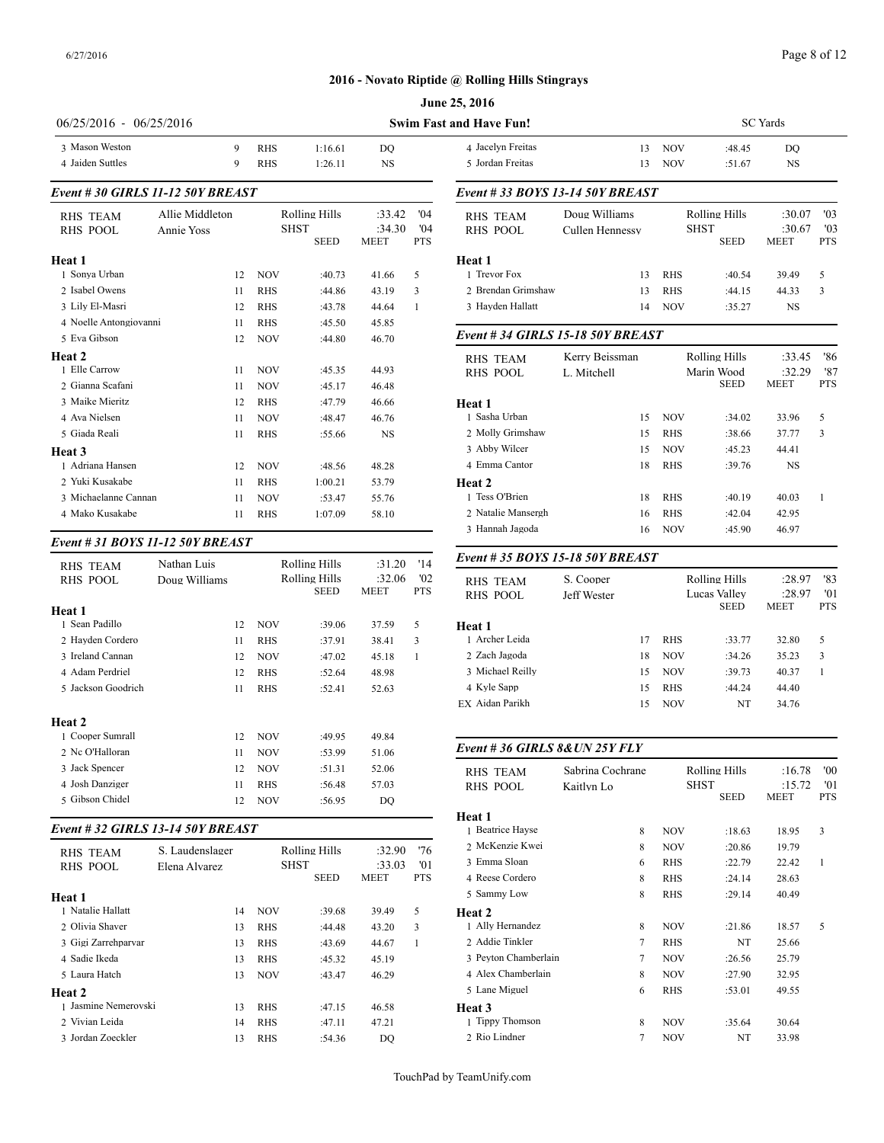# Page 8 of 12

# **2016 - Novato Riptide @ Rolling Hills Stingrays**

|                                    |                               |                          |             |                              |                                 |                          | June 25, 2016                         |                           |
|------------------------------------|-------------------------------|--------------------------|-------------|------------------------------|---------------------------------|--------------------------|---------------------------------------|---------------------------|
| $06/25/2016 - 06/25/2016$          |                               |                          |             |                              |                                 |                          | <b>Swim Fast and Have Fun!</b>        |                           |
| 3 Mason Weston<br>4 Jaiden Suttles | 9<br>9                        | <b>RHS</b><br><b>RHS</b> |             | 1:16.61<br>1:26.11           | DO<br><b>NS</b>                 |                          | 4 Jacelyn Freitas<br>5 Jordan Freitas |                           |
| Event # 30 GIRLS 11-12 50Y BREAST  |                               |                          |             |                              |                                 |                          | Event #33 BOYS 13-14 50Y B            |                           |
| <b>RHS TEAM</b><br><b>RHS POOL</b> | Allie Middleton<br>Annie Yoss |                          | <b>SHST</b> | Rolling Hills<br><b>SEED</b> | :33.42<br>:34.30<br><b>MEET</b> | '04<br>'04<br><b>PTS</b> | <b>RHS TEAM</b><br><b>RHS POOL</b>    | Doug Willi<br>Cullen Hen  |
| Heat 1                             |                               |                          |             |                              |                                 |                          | Heat 1                                |                           |
| 1 Sonya Urban                      | 12                            | <b>NOV</b>               |             | :40.73                       | 41.66                           | 5                        | 1 Trevor Fox                          |                           |
| 2 Isabel Owens                     | 11                            | <b>RHS</b>               |             | :44.86                       | 43.19                           | 3                        | 2 Brendan Grimshaw                    |                           |
| 3 Lily El-Masri                    | 12                            | <b>RHS</b>               |             | :43.78                       | 44.64                           | 1                        | 3 Hayden Hallatt                      |                           |
| 4 Noelle Antongiovanni             | 11                            | <b>RHS</b>               |             | :45.50                       | 45.85                           |                          |                                       |                           |
| 5 Eva Gibson                       | 12                            | <b>NOV</b>               |             | :44.80                       | 46.70                           |                          | Event # 34 GIRLS 15-18 50Y            |                           |
| Heat 2<br>1 Elle Carrow            | 11                            | <b>NOV</b>               |             | :45.35                       | 44.93                           |                          | <b>RHS TEAM</b><br><b>RHS POOL</b>    | Kerry Beis<br>L. Mitchell |
| 2 Gianna Scafani                   | 11                            | <b>NOV</b>               |             | :45.17                       | 46.48                           |                          |                                       |                           |
| 3 Maike Mieritz                    | 12                            | <b>RHS</b>               |             | :47.79                       | 46.66                           |                          | Heat 1                                |                           |
| 4 Ava Nielsen                      | 11                            | <b>NOV</b>               |             | :48.47                       | 46.76                           |                          | 1 Sasha Urban                         |                           |
| 5 Giada Reali                      | 11                            | <b>RHS</b>               |             | :55.66                       | <b>NS</b>                       |                          | 2 Molly Grimshaw                      |                           |
| Heat 3                             |                               |                          |             |                              |                                 |                          | 3 Abby Wilcer                         |                           |
| 1 Adriana Hansen                   | 12                            | <b>NOV</b>               |             | :48.56                       | 48.28                           |                          | 4 Emma Cantor                         |                           |
| 2 Yuki Kusakabe                    | 11                            | <b>RHS</b>               |             | 1:00.21                      | 53.79                           |                          | Heat 2                                |                           |
| 3 Michaelanne Cannan               | 11                            | <b>NOV</b>               |             | :53.47                       | 55.76                           |                          | 1 Tess O'Brien                        |                           |
| 4 Mako Kusakabe                    | 11                            | <b>RHS</b>               |             | 1:07.09                      | 58.10                           |                          | 2 Natalie Mansergh                    |                           |

# *Event # 31 BOYS 11-12 50Y BREAST*

| RHS TEAM           | Nathan Luis   |            | Rolling Hills         | :31.20         | '14               | Event # 35 $BOY$                   |
|--------------------|---------------|------------|-----------------------|----------------|-------------------|------------------------------------|
| <b>RHS POOL</b>    | Doug Williams |            | Rolling Hills<br>SEED | :32.06<br>MEET | '02<br><b>PTS</b> | <b>RHS TEAM</b><br><b>RHS POOL</b> |
| Heat 1             |               |            |                       |                |                   |                                    |
| 1 Sean Padillo     | 12            | <b>NOV</b> | :39.06                | 37.59          | 5                 | Heat 1                             |
| 2 Hayden Cordero   | 11            | <b>RHS</b> | :37.91                | 38.41          | 3                 | 1 Archer Leida                     |
| 3 Ireland Cannan   | 12            | <b>NOV</b> | :47.02                | 45.18          | 1                 | 2 Zach Jagoda                      |
| 4 Adam Perdriel    | 12            | <b>RHS</b> | :52.64                | 48.98          |                   | 3 Michael Reilly                   |
| 5 Jackson Goodrich | 11            | <b>RHS</b> | :52.41                | 52.63          |                   | 4 Kyle Sapp                        |
|                    |               |            |                       |                |                   | EX Aidan Parikh                    |
| Heat 2             |               |            |                       |                |                   |                                    |
| 1 Cooper Sumrall   | 12            | <b>NOV</b> | :49.95                | 49.84          |                   |                                    |
| 2 Nc O'Halloran    | 11            | <b>NOV</b> | :53.99                | 51.06          |                   | Event #36 GIRI                     |
| 3 Jack Spencer     | 12            | <b>NOV</b> | :51.31                | 52.06          |                   | <b>RHS TEAM</b>                    |
| 4 Josh Danziger    | 11            | <b>RHS</b> | :56.48                | 57.03          |                   | <b>RHS POOL</b>                    |
| 5 Gibson Chidel    | 12            | <b>NOV</b> | :56.95                | DO             |                   |                                    |
|                    |               |            |                       |                |                   | $II0 + 1$                          |

# *Event # 32 GIRLS 13-14 50Y BREAST*

| <b>RHS TEAM</b><br><b>RHS POOL</b> | S. Laudenslager<br>Elena Alvarez |            | Rolling Hills<br><b>SHST</b><br><b>SEED</b> | :32.90<br>:33.03<br><b>MEET</b> | '76<br>'01<br><b>PTS</b> | 2 McKenzie Kwei<br>3 Emma Sloan<br>4 Reese Cordero |
|------------------------------------|----------------------------------|------------|---------------------------------------------|---------------------------------|--------------------------|----------------------------------------------------|
| Heat 1                             |                                  |            |                                             |                                 |                          | 5 Sammy Low                                        |
| 1 Natalie Hallatt                  | 14                               | <b>NOV</b> | :39.68                                      | 39.49                           | 5                        | Heat 2                                             |
| 2 Olivia Shaver                    | 13                               | <b>RHS</b> | :44.48                                      | 43.20                           | 3                        | 1 Ally Hernandez                                   |
| 3 Gigi Zarrehparvar                | 13                               | <b>RHS</b> | :43.69                                      | 44.67                           | 1                        | 2 Addie Tinkler                                    |
| 4 Sadie Ikeda                      | 13                               | <b>RHS</b> | :45.32                                      | 45.19                           |                          | 3 Pevton Chamber                                   |
| 5 Laura Hatch                      | 13                               | <b>NOV</b> | :43.47                                      | 46.29                           |                          | 4 Alex Chamberla                                   |
| <b>Heat 2</b>                      |                                  |            |                                             |                                 |                          | 5 Lane Miguel                                      |
| 1 Jasmine Nemerovski               | 13                               | <b>RHS</b> | :47.15                                      | 46.58                           |                          | Heat 3                                             |
| 2 Vivian Leida                     | 14                               | <b>RHS</b> | :47.11                                      | 47.21                           |                          | 1 Tippy Thomson                                    |
| 3 Jordan Zoeckler                  | 13                               | <b>RHS</b> | :54.36                                      | DO                              |                          | 2 Rio Lindner                                      |

| and Have Fun!                    |                 |            | <b>SC</b> Yards             |                       |                   |  |  |  |
|----------------------------------|-----------------|------------|-----------------------------|-----------------------|-------------------|--|--|--|
| 4 Jacelyn Freitas                | 13              | <b>NOV</b> | :48.45                      | DO                    |                   |  |  |  |
| 5 Jordan Freitas                 | 13              | <b>NOV</b> | :51.67                      | <b>NS</b>             |                   |  |  |  |
| Event #33 BOYS 13-14 50Y BREAST  |                 |            |                             |                       |                   |  |  |  |
| <b>RHS TEAM</b>                  | Doug Williams   |            | Rolling Hills               | :30.07                | '03               |  |  |  |
| <b>RHS POOL</b>                  | Cullen Hennessy |            | <b>SHST</b><br><b>SEED</b>  | :30.67<br><b>MEET</b> | '03<br><b>PTS</b> |  |  |  |
| Heat 1                           |                 |            |                             |                       |                   |  |  |  |
| 1 Trevor Fox                     | 13              | <b>RHS</b> | :40.54                      | 39.49                 | 5                 |  |  |  |
| 2 Brendan Grimshaw               | 13              | <b>RHS</b> | :44.15                      | 44.33                 | 3                 |  |  |  |
| 3 Hayden Hallatt                 | 14              | <b>NOV</b> | :35.27                      | <b>NS</b>             |                   |  |  |  |
| Event #34 GIRLS 15-18 50Y BREAST |                 |            |                             |                       |                   |  |  |  |
| <b>RHS TEAM</b>                  | Kerry Beissman  |            | <b>Rolling Hills</b>        | :33.45                | '86               |  |  |  |
| <b>RHS POOL</b>                  | L. Mitchell     |            | Marin Wood<br><b>SEED</b>   | :32.29<br><b>MEET</b> | '87<br><b>PTS</b> |  |  |  |
| Heat 1                           |                 |            |                             |                       |                   |  |  |  |
| 1 Sasha Urban                    | 15              | <b>NOV</b> | :34.02                      | 33.96                 | 5                 |  |  |  |
| 2 Molly Grimshaw                 | 15              | <b>RHS</b> | :38.66                      | 37.77                 | 3                 |  |  |  |
| 3 Abby Wilcer                    | 15              | <b>NOV</b> | :45.23                      | 44.41                 |                   |  |  |  |
| 4 Emma Cantor                    | 18              | <b>RHS</b> | :39.76                      | <b>NS</b>             |                   |  |  |  |
| Heat <sub>2</sub>                |                 |            |                             |                       |                   |  |  |  |
| 1 Tess O'Brien                   | 18              | <b>RHS</b> | :40.19                      | 40.03                 | $\mathbf{1}$      |  |  |  |
| 2 Natalie Mansergh               | 16              | <b>RHS</b> | :42.04                      | 42.95                 |                   |  |  |  |
| 3 Hannah Jagoda                  | 16              | <b>NOV</b> | :45.90                      | 46.97                 |                   |  |  |  |
| Event #35 BOYS 15-18 50Y BREAST  |                 |            |                             |                       |                   |  |  |  |
| <b>RHS TEAM</b>                  | S. Cooper       |            | Rolling Hills               | :28.97                | '83               |  |  |  |
| <b>RHS POOL</b>                  | Jeff Wester     |            | Lucas Vallev<br><b>SEED</b> | :28.97<br><b>MEET</b> | '01<br>PTS        |  |  |  |
|                                  |                 |            |                             |                       |                   |  |  |  |

| RHS POOL         | Jeit wester |    |            | Lucas valiev<br><b>SEED</b> | 20.91<br><b>MEET</b> | <b>UI</b><br><b>PTS</b> |
|------------------|-------------|----|------------|-----------------------------|----------------------|-------------------------|
| Heat 1           |             |    |            |                             |                      |                         |
| 1 Archer Leida   |             | 17 | <b>RHS</b> | :33.77                      | 32.80                | 5                       |
| 2 Zach Jagoda    |             | 18 | <b>NOV</b> | :34.26                      | 35.23                | 3                       |
| 3 Michael Reilly |             | 15 | <b>NOV</b> | :39.73                      | 40.37                |                         |
| 4 Kyle Sapp      |             | 15 | <b>RHS</b> | :44.24                      | 44.40                |                         |
| EX Aidan Parikh  |             | 15 | <b>NOV</b> | NT                          | 34.76                |                         |
|                  |             |    |            |                             |                      |                         |

# *Event # 36 GIRLS 8&UN 25Y FLY*

| <b>RHS TEAM</b>      | Sabrina Cochrane |             | Rolling Hills | :16.78      | '00        |
|----------------------|------------------|-------------|---------------|-------------|------------|
| <b>RHS POOL</b>      | Kaitlyn Lo       | <b>SHST</b> |               | :15.72      | '01        |
|                      |                  |             | <b>SEED</b>   | <b>MEET</b> | <b>PTS</b> |
| Heat 1               |                  |             |               |             |            |
| 1 Beatrice Hayse     | 8                | <b>NOV</b>  | :18.63        | 18.95       | 3          |
| 2 McKenzie Kwei      | 8                | <b>NOV</b>  | :20.86        | 19.79       |            |
| 3 Emma Sloan         | 6                | <b>RHS</b>  | :22.79        | 22.42       | 1          |
| 4 Reese Cordero      | 8                | <b>RHS</b>  | :24.14        | 28.63       |            |
| 5 Sammy Low          | 8                | <b>RHS</b>  | :29.14        | 40.49       |            |
| Heat 2               |                  |             |               |             |            |
| 1 Ally Hernandez     | 8                | <b>NOV</b>  | :21.86        | 18.57       | 5          |
| 2 Addie Tinkler      | 7                | <b>RHS</b>  | NT            | 25.66       |            |
| 3 Pevton Chamberlain | 7                | <b>NOV</b>  | :26.56        | 25.79       |            |
| 4 Alex Chamberlain   | 8                | <b>NOV</b>  | :27.90        | 32.95       |            |
| 5 Lane Miguel        | 6                | <b>RHS</b>  | :53.01        | 49.55       |            |
| Heat 3               |                  |             |               |             |            |
| 1 Tippy Thomson      | 8                | <b>NOV</b>  | :35.64        | 30.64       |            |
| 2 Rio Lindner        | 7                | <b>NOV</b>  | NT            | 33.98       |            |
|                      |                  |             |               |             |            |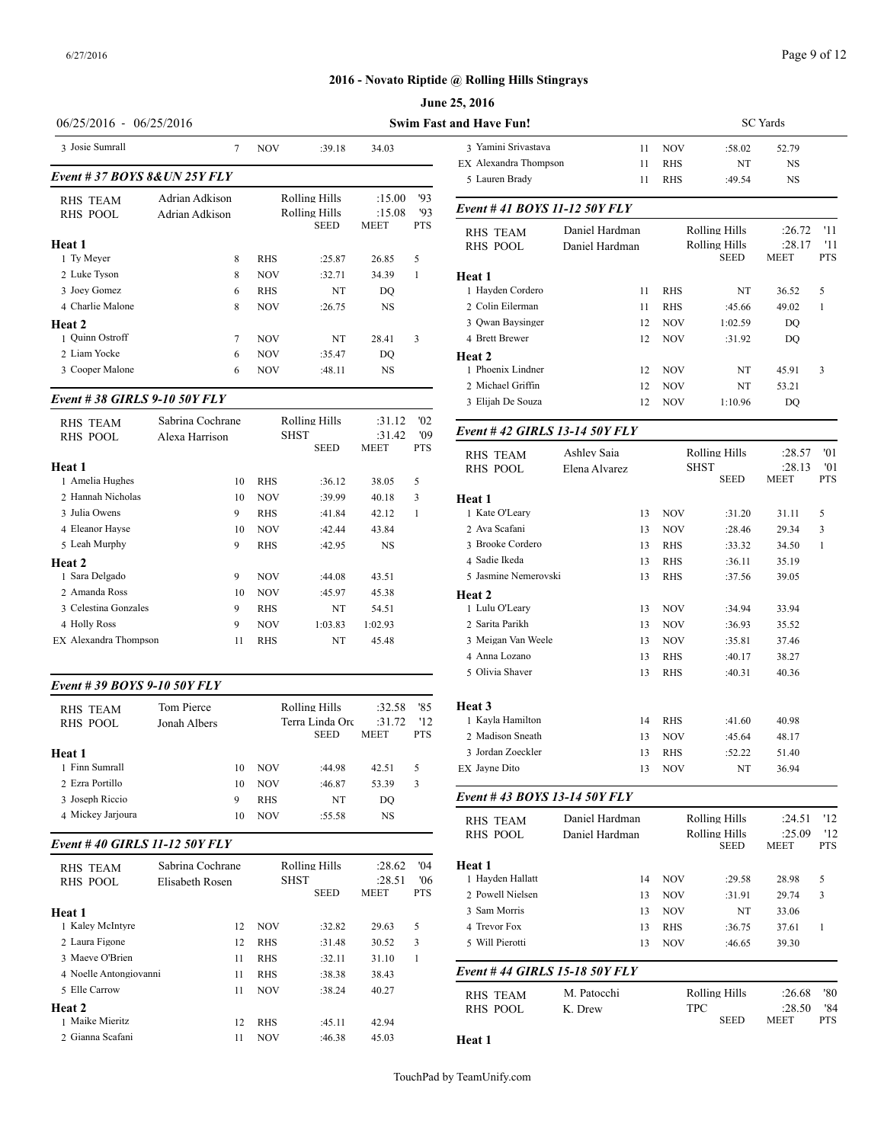# **June 25, 2016**

| $06/25/2016 - 06/25/2016$     | <b>Swim Fast and Have Fun!</b>   |            |                                |                  |            |                                        |
|-------------------------------|----------------------------------|------------|--------------------------------|------------------|------------|----------------------------------------|
| 3 Josie Sumrall               | 7                                | <b>NOV</b> | :39.18                         | 34.03            |            | 3 Yamini Srivasta<br>EX Alexandra Thon |
| Event # 37 BOYS 8& UN 25Y FLY | 5 Lauren Brady                   |            |                                |                  |            |                                        |
| RHS TEAM<br><b>RHS POOL</b>   | Adrian Adkison<br>Adrian Adkison |            | Rolling Hills<br>Rolling Hills | :15.00<br>:15.08 | '93<br>93  | Event #41 $BOY$                        |
| Heat 1                        |                                  |            | <b>SEED</b>                    | <b>MEET</b>      | <b>PTS</b> | <b>RHS TEAM</b><br><b>RHS POOL</b>     |
| 1 Ty Meyer                    | 8                                | <b>RHS</b> | :25.87                         | 26.85            | 5          |                                        |
| 2 Luke Tyson                  | 8                                | <b>NOV</b> | :32.71                         | 34.39            | 1          | Heat 1                                 |
| 3 Joey Gomez                  | 6                                | <b>RHS</b> | NT                             | DO               |            | 1 Hayden Corderc                       |
| 4 Charlie Malone              | 8                                | <b>NOV</b> | :26.75                         | <b>NS</b>        |            | 2 Colin Eilerman                       |
| Heat 2                        |                                  |            |                                |                  |            | 3 Qwan Baysinger                       |
| 1 Ouinn Ostroff               | 7                                | <b>NOV</b> | NT                             | 28.41            | 3          | 4 Brett Brewer                         |
| 2 Liam Yocke                  | 6                                | <b>NOV</b> | :35.47                         | DO               |            | Heat 2                                 |
| 3 Cooper Malone               | 6                                | <b>NOV</b> | :48.11                         | <b>NS</b>        |            | 1 Phoenix Lindner<br>2 Michael Griffin |
| Event #38 GIRLS 9-10 50Y FLY  |                                  |            |                                |                  |            | 3 Elijah De Souza                      |

|                             | Sabrina Cochrane |            | Rolling Hills | :31.12    | '02        |                                    |
|-----------------------------|------------------|------------|---------------|-----------|------------|------------------------------------|
| RHS TEAM<br><b>RHS POOL</b> | Alexa Harrison   |            | <b>SHST</b>   | :31.42    | '09        | Event #42 GIRI                     |
| Heat 1                      |                  |            | <b>SEED</b>   | MEET      | <b>PTS</b> | <b>RHS TEAM</b><br><b>RHS POOL</b> |
| 1 Amelia Hughes             | 10               | <b>RHS</b> | :36.12        | 38.05     | 5          |                                    |
| 2 Hannah Nicholas           | 10               | <b>NOV</b> | :39.99        | 40.18     | 3          | Heat 1                             |
| 3 Julia Owens               | 9                | <b>RHS</b> | :41.84        | 42.12     | 1          | 1 Kate O'Leary                     |
| 4 Eleanor Havse             | 10               | <b>NOV</b> | :42.44        | 43.84     |            | 2 Ava Scafani                      |
| 5 Leah Murphy               | 9                | <b>RHS</b> | :42.95        | <b>NS</b> |            | 3 Brooke Cordero                   |
| Heat 2                      |                  |            |               |           |            | 4 Sadie Ikeda                      |
| 1 Sara Delgado              | 9                | <b>NOV</b> | :44.08        | 43.51     |            | 5 Jasmine Nemero                   |
| 2. Amanda Ross              | 10               | <b>NOV</b> | :45.97        | 45.38     |            | Heat 2                             |
| 3 Celestina Gonzales        | 9                | <b>RHS</b> | NT            | 54.51     |            | 1 Lulu O'Leary                     |
| 4 Holly Ross                | 9                | <b>NOV</b> | 1:03.83       | 1:02.93   |            | 2. Sarita Parikh                   |
| EX Alexandra Thompson       | 11               | <b>RHS</b> | NT            | 45.48     |            | 3 Meigan Van We                    |
|                             |                  |            |               |           |            |                                    |

# *Event # 39 BOYS 9-10 50Y FLY*

| <b>RHS TEAM</b>   | Tom Pierce   |    |            | Rolling Hills   | :32.58      | '85        | Heat 3            |
|-------------------|--------------|----|------------|-----------------|-------------|------------|-------------------|
| RHS POOL          | Jonah Albers |    |            | Terra Linda Orc | :31.72      | 12         | 1 Kayla Hamilton  |
|                   |              |    |            | <b>SEED</b>     | <b>MEET</b> | <b>PTS</b> | 2 Madison Sneath  |
| Heat 1            |              |    |            |                 |             |            | 3 Jordan Zoeckler |
| 1 Finn Sumrall    |              | 10 | <b>NOV</b> | :44.98          | 42.51       | 5          | EX Jayne Dito     |
| 2 Ezra Portillo   |              | 10 | <b>NOV</b> | :46.87          | 53.39       | 3          |                   |
| 3 Joseph Riccio   |              | 9  | <b>RHS</b> | NT              | DO          |            | Event #43 BOY     |
| 4 Mickey Jarjoura |              | 10 | <b>NOV</b> | :55.58          | NS          |            | RHS TEAM          |

# *Event # 40 GIRLS 11-12 50Y FLY*

| <b>RHS TEAM</b><br>RHS POOL<br>Heat 1 | Sabrina Cochrane<br>Elisabeth Rosen |            | Rolling Hills<br><b>SHST</b><br><b>SEED</b> | :28.62<br>:28.51<br><b>MEET</b> | 04'<br>'06<br><b>PTS</b> | Heat 1<br>1 Havden Hallatt<br>2 Powell Nielsen<br>3 Sam Morris |
|---------------------------------------|-------------------------------------|------------|---------------------------------------------|---------------------------------|--------------------------|----------------------------------------------------------------|
| 1 Kaley McIntyre                      | 12                                  | <b>NOV</b> | :32.82                                      | 29.63                           | 5                        | 4 Trevor Fox                                                   |
| 2 Laura Figone                        | 12                                  | <b>RHS</b> | :31.48                                      | 30.52                           | 3                        | 5 Will Pierotti                                                |
| 3 Maeve O'Brien                       | 11                                  | <b>RHS</b> | :32.11                                      | 31.10                           | 1                        |                                                                |
| 4 Noelle Antongiovanni                | 11                                  | <b>RHS</b> | :38.38                                      | 38.43                           |                          | Event #44 GIRI                                                 |
| 5 Elle Carrow                         | 11                                  | <b>NOV</b> | :38.24                                      | 40.27                           |                          | <b>RHS TEAM</b>                                                |
| Heat 2                                |                                     |            |                                             |                                 |                          | <b>RHS POOL</b>                                                |
| 1 Maike Mieritz                       | 12                                  | <b>RHS</b> | :45.11                                      | 42.94                           |                          |                                                                |
| 2 Gianna Scafani                      | 11                                  | <b>NOV</b> | :46.38                                      | 45.03                           |                          | Heat 1                                                         |

| and Have Fun!                          |                | <b>SC</b> Yards |                              |                |              |  |  |  |  |
|----------------------------------------|----------------|-----------------|------------------------------|----------------|--------------|--|--|--|--|
| 3 Yamini Srivastava                    | 11             | NOV             | :58.02                       | 52.79          |              |  |  |  |  |
| EX Alexandra Thompson                  | 11             | RHS             | NT                           | NS             |              |  |  |  |  |
| 5 Lauren Brady                         | 11             | RHS             | :49.54                       | NS             |              |  |  |  |  |
| Event # 41 BOYS 11-12 50Y FLY          |                |                 |                              |                |              |  |  |  |  |
| <b>RHS TEAM</b>                        | Daniel Hardman |                 | Rolling Hills                | :26.72         | '11          |  |  |  |  |
| <b>RHS POOL</b>                        | Daniel Hardman |                 | <b>Rolling Hills</b>         | :28.17         | '11          |  |  |  |  |
|                                        |                |                 | <b>SEED</b>                  | MEET           | <b>PTS</b>   |  |  |  |  |
| Heat 1                                 |                |                 |                              |                |              |  |  |  |  |
| 1 Hayden Cordero                       | 11             | RHS             | NT                           | 36.52          | 5            |  |  |  |  |
| 2 Colin Eilerman                       | 11             | RHS             | :45.66                       | 49.02          | 1            |  |  |  |  |
| 3 Qwan Baysinger                       | 12             | NOV             | 1:02.59                      | DQ             |              |  |  |  |  |
| 4 Brett Brewer                         | 12             | NOV             | :31.92                       | DQ             |              |  |  |  |  |
| Heat 2                                 |                |                 |                              |                |              |  |  |  |  |
| 1 Phoenix Lindner<br>2 Michael Griffin | 12             | NOV             | NT                           | 45.91          | 3            |  |  |  |  |
| 3 Elijah De Souza                      | 12<br>12       | NOV<br>NOV      | NT<br>1:10.96                | 53.21<br>DQ    |              |  |  |  |  |
|                                        |                |                 |                              |                |              |  |  |  |  |
| Event #42 GIRLS 13-14 50Y FLY          |                |                 |                              |                |              |  |  |  |  |
| <b>RHS TEAM</b>                        | Ashley Saia    |                 | <b>Rolling Hills</b>         | :28.57         | '01          |  |  |  |  |
| <b>RHS POOL</b>                        | Elena Alvarez  |                 | <b>SHST</b>                  | :28.13         | '01          |  |  |  |  |
|                                        |                |                 | <b>SEED</b>                  | <b>MEET</b>    | <b>PTS</b>   |  |  |  |  |
| Heat 1<br>1 Kate O'Leary               |                | <b>NOV</b>      |                              |                | 5            |  |  |  |  |
| 2 Ava Scafani                          | 13<br>13       | NOV             | :31.20<br>:28.46             | 31.11          | 3            |  |  |  |  |
| 3 Brooke Cordero                       | 13             | RHS             | :33.32                       | 29.34<br>34.50 | 1            |  |  |  |  |
| 4 Sadie Ikeda                          | 13             | RHS             | :36.11                       | 35.19          |              |  |  |  |  |
| 5 Jasmine Nemerovski                   | 13             | RHS             | :37.56                       | 39.05          |              |  |  |  |  |
| Heat 2                                 |                |                 |                              |                |              |  |  |  |  |
| 1 Lulu O'Leary                         | 13             | NOV             | :34.94                       | 33.94          |              |  |  |  |  |
| 2 Sarita Parikh                        | 13             | <b>NOV</b>      | :36.93                       | 35.52          |              |  |  |  |  |
| 3 Meigan Van Weele                     | 13             | <b>NOV</b>      | :35.81                       | 37.46          |              |  |  |  |  |
| 4 Anna Lozano                          | 13             | RHS             | :40.17                       | 38.27          |              |  |  |  |  |
| 5 Olivia Shaver                        | 13             | RHS             | :40.31                       | 40.36          |              |  |  |  |  |
| Heat 3                                 |                |                 |                              |                |              |  |  |  |  |
| 1 Kayla Hamilton                       | 14             | RHS             | :41.60                       | 40.98          |              |  |  |  |  |
| 2 Madison Sneath                       | 13             | NOV             | :45.64                       | 48.17          |              |  |  |  |  |
| 3 Jordan Zoeckler                      | 13             | RHS             | :52.22                       | 51.40          |              |  |  |  |  |
| EX Jayne Dito                          | 13             | NOV             | NT                           | 36.94          |              |  |  |  |  |
| Event # 43 BOYS 13-14 50Y FLY          |                |                 |                              |                |              |  |  |  |  |
|                                        |                |                 |                              |                |              |  |  |  |  |
| <b>RHS TEAM</b>                        | Daniel Hardman |                 | <b>Rolling Hills</b>         | :24.51         | '12          |  |  |  |  |
| RHS POOL                               | Daniel Hardman |                 | Rolling Hills<br><b>SEED</b> | :25.09<br>MEET | '12<br>PTS   |  |  |  |  |
| Heat 1                                 |                |                 |                              |                |              |  |  |  |  |
| 1 Hayden Hallatt                       | 14             | NOV             | :29.58                       | 28.98          | 5            |  |  |  |  |
| 2 Powell Nielsen                       | 13             | NOV             | :31.91                       | 29.74          | 3            |  |  |  |  |
| 3 Sam Morris                           | 13             | NOV             | NT                           | 33.06          |              |  |  |  |  |
| 4 Trevor Fox                           | 13             | RHS             | :36.75                       | 37.61          | $\mathbf{1}$ |  |  |  |  |
| 5 Will Pierotti                        | 13             | NOV             | :46.65                       | 39.30          |              |  |  |  |  |
| Event # 44 GIRLS 15-18 50Y FLY         |                |                 |                              |                |              |  |  |  |  |
| <b>RHS TEAM</b>                        | M. Patocchi    |                 | Rolling Hills                | :26.68         | '80          |  |  |  |  |
| RHS POOL                               | K. Drew        |                 | TPC                          | :28.50         | '84          |  |  |  |  |
|                                        |                |                 | SEED                         | MEET           | PTS          |  |  |  |  |
| Heat 1                                 |                |                 |                              |                |              |  |  |  |  |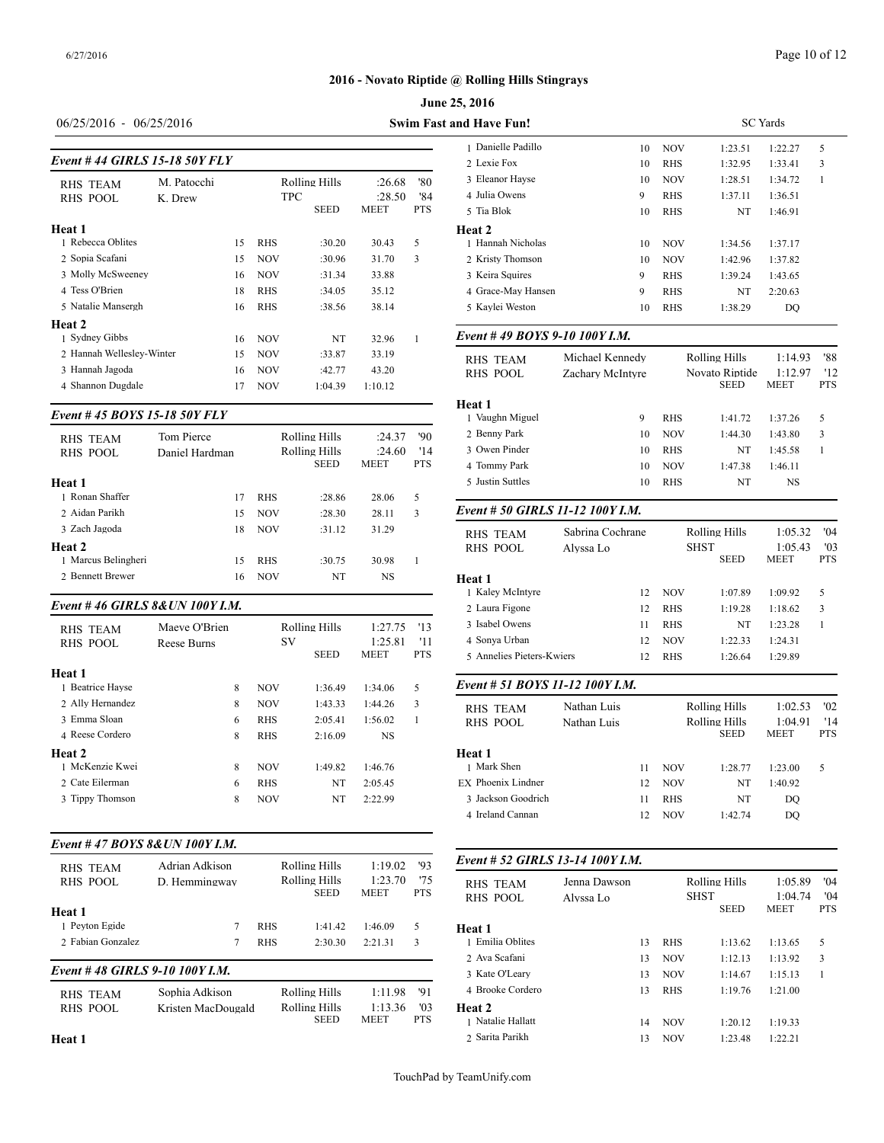# 06/25/2016 - 06/25/2016 **Swim Fast a**

|                           |                               |    |            |               |         |            | 1 Danielle Padillo |  |  |
|---------------------------|-------------------------------|----|------------|---------------|---------|------------|--------------------|--|--|
|                           | Event #44 GIRLS 15-18 50Y FLY |    |            |               |         |            |                    |  |  |
| <b>RHS TEAM</b>           | M. Patocchi                   |    |            | Rolling Hills | :26.68  | '80        | 3 Eleanor Havse    |  |  |
| <b>RHS POOL</b>           | K. Drew                       |    | <b>TPC</b> |               | :28.50  | '84        | 4 Julia Owens      |  |  |
|                           |                               |    |            | <b>SEED</b>   | MEET    | <b>PTS</b> | 5 Tia Blok         |  |  |
| Heat 1                    |                               |    |            |               |         |            | Heat 2             |  |  |
| 1 Rebecca Oblites         |                               | 15 | <b>RHS</b> | :30.20        | 30.43   | 5          | 1 Hannah Nichola   |  |  |
| 2 Sopia Scafani           |                               | 15 | <b>NOV</b> | :30.96        | 31.70   | 3          | 2 Kristy Thomson   |  |  |
| 3 Molly McSweeney         |                               | 16 | <b>NOV</b> | :31.34        | 33.88   |            | 3 Keira Squires    |  |  |
| 4 Tess O'Brien            |                               | 18 | <b>RHS</b> | :34.05        | 35.12   |            | 4 Grace-May Han    |  |  |
| 5 Natalie Mansergh        |                               | 16 | <b>RHS</b> | :38.56        | 38.14   |            | 5 Kaylei Weston    |  |  |
| Heat 2                    |                               |    |            |               |         |            |                    |  |  |
| 1 Sydney Gibbs            |                               | 16 | <b>NOV</b> | NT            | 32.96   | 1          | Event #49 BOY      |  |  |
| 2 Hannah Wellesley-Winter |                               | 15 | <b>NOV</b> | :33.87        | 33.19   |            | <b>RHS TEAM</b>    |  |  |
| 3 Hannah Jagoda           |                               | 16 | <b>NOV</b> | :42.77        | 43.20   |            | <b>RHS POOL</b>    |  |  |
| 4 Shannon Dugdale         |                               | 17 | <b>NOV</b> | 1:04.39       | 1:10.12 |            |                    |  |  |
|                           |                               |    |            |               |         |            |                    |  |  |

#### *Event # 45 BOYS 15-18 50Y FLY*

| <b>RHS TEAM</b>     | Tom Pierce     |            | Rolling Hills | :24.37      | '90        | 2 Benny Park     |
|---------------------|----------------|------------|---------------|-------------|------------|------------------|
| RHS POOL            | Daniel Hardman |            | Rolling Hills | :24.60      | '14        | 3 Owen Pinder    |
|                     |                |            | <b>SEED</b>   | <b>MEET</b> | <b>PTS</b> | 4 Tommy Park     |
| Heat 1              |                |            |               |             |            | 5 Justin Suttles |
| 1 Ronan Shaffer     | 17             | <b>RHS</b> | :28.86        | 28.06       | 5          |                  |
| 2 Aidan Parikh      | 15             | <b>NOV</b> | :28.30        | 28.11       | 3          | Event # 50 GIRI  |
| 3 Zach Jagoda       | 18             | <b>NOV</b> | :31.12        | 31.29       |            | RHS TEAM         |
| Heat 2              |                |            |               |             |            | RHS POOL         |
| 1 Marcus Belingheri | 15             | <b>RHS</b> | :30.75        | 30.98       |            |                  |
| 2 Bennett Brewer    | 16             | <b>NOV</b> | NT            | NS          |            | <b>Heat 1</b>    |

### *Event # 46 GIRLS 8&UN 100Y I.M.*

| <b>RHS TEAM</b><br><b>RHS POOL</b> | Maeve O'Brien<br>Reese Burns | <b>SV</b>  | Rolling Hills<br><b>SEED</b> | 1:27.75<br>1:25.81<br><b>MEET</b> | '13<br>'11<br><b>PTS</b> | 3 Isabel Owens<br>4 Sonya Urban<br>5 Annelies Pieters |
|------------------------------------|------------------------------|------------|------------------------------|-----------------------------------|--------------------------|-------------------------------------------------------|
| Heat 1                             |                              |            |                              |                                   |                          |                                                       |
| 1 Beatrice Havse                   | 8                            | <b>NOV</b> | 1:36.49                      | 1:34.06                           | 5                        | Event # 51 BOY                                        |
| 2 Ally Hernandez                   | 8                            | <b>NOV</b> | 1:43.33                      | 1:44.26                           | 3                        | <b>RHS TEAM</b>                                       |
| 3 Emma Sloan                       | 6                            | <b>RHS</b> | 2:05.41                      | 1:56.02                           |                          | <b>RHS POOL</b>                                       |
| 4 Reese Cordero                    | 8                            | <b>RHS</b> | 2:16.09                      | NS                                |                          |                                                       |
| Heat 2                             |                              |            |                              |                                   |                          | Heat 1                                                |
| 1 McKenzie Kwei                    | 8                            | <b>NOV</b> | 1:49.82                      | 1:46.76                           |                          | 1 Mark Shen                                           |
| 2 Cate Eilerman                    | 6                            | <b>RHS</b> | NT                           | 2:05.45                           |                          | EX Phoenix Lindner                                    |
| 3 Tippy Thomson                    | 8                            | <b>NOV</b> | NT                           | 2:22.99                           |                          | 3 Jackson Goodric                                     |
|                                    |                              |            |                              |                                   |                          |                                                       |

# *Event # 47 BOYS 8&UN 100Y I.M.*

| <b>RHS TEAM</b>                | Adrian Adkison     |            | Rolling Hills                | 1:19.02                | '93                          | Event # 52 GIRI                    |
|--------------------------------|--------------------|------------|------------------------------|------------------------|------------------------------|------------------------------------|
| <b>RHS POOL</b>                | D. Hemmingway      |            | Rolling Hills<br><b>SEED</b> | 1:23.70<br><b>MEET</b> | 75<br><b>PTS</b>             | <b>RHS TEAM</b><br><b>RHS POOL</b> |
| Heat 1                         |                    |            |                              |                        |                              |                                    |
| 1 Pevton Egide                 | 7                  | <b>RHS</b> | 1:41.42                      | 1:46.09                | 5                            | Heat 1                             |
| 2 Fabian Gonzalez              | 7                  | <b>RHS</b> | 2:30.30                      | 2:21.31                | 3                            | 1 Emilia Oblites                   |
| Event #48 GIRLS 9-10 100Y I.M. |                    |            |                              |                        |                              | 2 Ava Scafani<br>3 Kate O'Leary    |
| <b>RHS TEAM</b>                | Sophia Adkison     |            | Rolling Hills                | 1:11.98                | '91                          | 4 Brooke Cordero                   |
| RHS POOL                       | Kristen MacDougald |            | Rolling Hills<br><b>SEED</b> | 1:13.36<br><b>MEET</b> | $^{\prime}$ 03<br><b>PTS</b> | Heat 2<br>1 Natalie Hallatt        |

| June 25, 2016                    |                  |    |            |                               |                        |                   |
|----------------------------------|------------------|----|------------|-------------------------------|------------------------|-------------------|
| <b>Fast and Have Fun!</b>        |                  |    |            |                               | <b>SC</b> Yards        |                   |
| 1 Danielle Padillo               |                  | 10 | <b>NOV</b> | 1:23.51                       | 1:22.27                | 5                 |
| 2 Lexie Fox                      |                  | 10 | RHS        | 1:32.95                       | 1:33.41                | 3                 |
| 3 Eleanor Hayse                  |                  | 10 | <b>NOV</b> | 1:28.51                       | 1:34.72                | 1                 |
| 4 Julia Owens                    |                  | 9  | <b>RHS</b> | 1:37.11                       | 1:36.51                |                   |
| 5 Tia Blok                       |                  | 10 | <b>RHS</b> | NT                            | 1:46.91                |                   |
| Heat 2                           |                  |    |            |                               |                        |                   |
| 1 Hannah Nicholas                |                  | 10 | <b>NOV</b> | 1:34.56                       | 1:37.17                |                   |
| 2 Kristy Thomson                 |                  | 10 | <b>NOV</b> | 1:42.96                       | 1:37.82                |                   |
| 3 Keira Squires                  |                  | 9  | RHS        | 1:39.24                       | 1:43.65                |                   |
| 4 Grace-May Hansen               |                  | 9  | <b>RHS</b> | NT                            | 2:20.63                |                   |
| 5 Kaylei Weston                  |                  | 10 | RHS        | 1:38.29                       | DQ                     |                   |
| Event #49 BOYS 9-10 100Y I.M.    |                  |    |            |                               |                        |                   |
| <b>RHS TEAM</b>                  | Michael Kennedy  |    |            | Rolling Hills                 | 1:14.93                | '88               |
| <b>RHS POOL</b>                  | Zachary McIntyre |    |            | Novato Riptide<br><b>SEED</b> | 1:12.97<br><b>MEET</b> | '12<br><b>PTS</b> |
| Heat 1                           |                  |    |            |                               |                        |                   |
| 1 Vaughn Miguel                  |                  | 9  | RHS        | 1:41.72                       | 1:37.26                | 5                 |
| 2 Benny Park                     |                  | 10 | <b>NOV</b> | 1:44.30                       | 1:43.80                | 3                 |
| 3 Owen Pinder                    |                  | 10 | RHS        | NT                            | 1:45.58                | 1                 |
| 4 Tommy Park                     |                  | 10 | <b>NOV</b> | 1:47.38                       | 1:46.11                |                   |
| 5 Justin Suttles                 |                  | 10 | <b>RHS</b> | NT                            | NS                     |                   |
| Event # 50 GIRLS 11-12 100Y I.M. |                  |    |            |                               |                        |                   |
| <b>RHS TEAM</b>                  | Sabrina Cochrane |    |            | <b>Rolling Hills</b>          | 1:05.32                | '04               |
| <b>RHS POOL</b>                  | Alyssa Lo        |    |            | SHST<br><b>SEED</b>           | 1:05.43<br>MEET        | '03<br><b>PTS</b> |
| Heat 1                           |                  |    |            |                               |                        |                   |
| 1 Kaley McIntyre                 |                  | 12 | <b>NOV</b> | 1:07.89                       | 1:09.92                | 5                 |
| 2 Laura Figone                   |                  | 12 | RHS        | 1:19.28                       | 1:18.62                | 3                 |
| 3 Isabel Owens                   |                  | 11 | <b>RHS</b> | NT                            | 1:23.28                | 1                 |
| 4 Sonya Urban                    |                  | 12 | NOV        | 1:22.33                       | 1:24.31                |                   |
| 5 Annelies Pieters-Kwiers        |                  | 12 | <b>RHS</b> | 1:26.64                       | 1:29.89                |                   |
| Event # 51 BOYS 11-12 100Y I.M.  |                  |    |            |                               |                        |                   |
| <b>RHS TEAM</b>                  | Nathan Luis      |    |            | Rolling Hills                 | 1:02.53                | '02               |
| RHS POOL                         | Nathan Luis      |    |            | Rolling Hills                 | 1:04.91                | '14               |
|                                  |                  |    |            | <b>SEED</b>                   | <b>MEET</b>            | PTS               |
| Heat 1                           |                  |    |            |                               |                        |                   |
| 1 Mark Shen                      |                  | 11 | NOV        | 1:28.77                       | 1:23.00                | 5                 |
| <b>EX</b> Phoenix Lindner        |                  | 12 | NOV        | NT                            | 1:40.92                |                   |
| 3 Jackson Goodrich               |                  | 11 | RHS        | NT                            | DQ                     |                   |
| 4 Ireland Cannan                 |                  | 12 | <b>NOV</b> | 1:42.74                       | DQ                     |                   |
|                                  |                  |    |            |                               |                        |                   |
| Event # 52 GIRLS 13-14 100Y I.M. |                  |    |            |                               |                        |                   |
| <b>RHS TEAM</b>                  | Jenna Dawson     |    |            | Rolling Hills                 | 1:05.89                | 04'               |
| <b>RHS POOL</b>                  | Alvssa Lo        |    |            | SHST<br><b>SEED</b>           | 1:04.74<br>MEET        | '04<br>PTS        |
| Heat 1                           |                  |    |            |                               |                        |                   |
| 1 Emilia Oblites                 |                  | 13 | <b>RHS</b> | 1:13.62                       | 1:13.65                | 5                 |
| 2 Ava Scafani                    |                  | 13 | <b>NOV</b> | 1:12.13                       | 1:13.92                | 3                 |
| 3 Kate O'Leary                   |                  | 13 | <b>NOV</b> | 1:14.67                       | 1:15.13                | $\mathbf{1}$      |
| 4 Brooke Cordero                 |                  | 13 |            | 1:19.76                       |                        |                   |
|                                  |                  |    | RHS        |                               | 1:21.00                |                   |

14 NOV 1:20.12 1:19.33

2 Sarita Parikh 13 NOV 1:23.48 1:22.21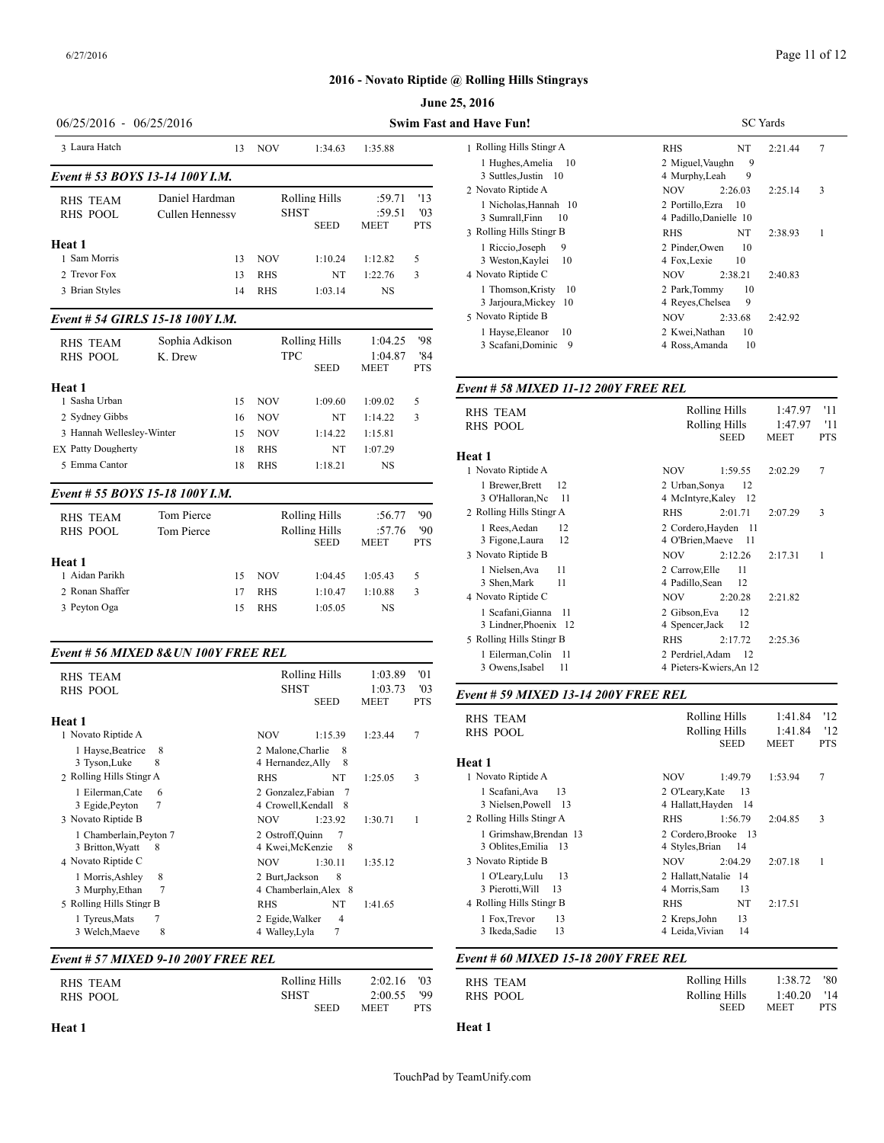# Page 11 of 12

# **2016 - Novato Riptide @ Rolling Hills Stingrays**

|                                                                                                                      |                                                                           |                                                                                      |                                                                         |                                                                    |                                    | June 25, 2016                                                                                                                                                                                                                                         |
|----------------------------------------------------------------------------------------------------------------------|---------------------------------------------------------------------------|--------------------------------------------------------------------------------------|-------------------------------------------------------------------------|--------------------------------------------------------------------|------------------------------------|-------------------------------------------------------------------------------------------------------------------------------------------------------------------------------------------------------------------------------------------------------|
| 06/25/2016 - 06/25/2016                                                                                              |                                                                           |                                                                                      |                                                                         |                                                                    |                                    | <b>Swim Fast and Have Fun!</b>                                                                                                                                                                                                                        |
| 3 Laura Hatch                                                                                                        |                                                                           | <b>NOV</b><br>13                                                                     | 1:34.63                                                                 | 1:35.88                                                            |                                    | 1 Rolling Hills Stingr A<br>1 Hughes, Amelia<br>- 10                                                                                                                                                                                                  |
| <b>RHS TEAM</b><br><b>RHS POOL</b><br>Heat 1<br>1 Sam Morris<br>2 Trevor Fox<br>3 Brian Styles                       | Event # 53 BOYS 13-14 100Y J.M.<br>Daniel Hardman<br>Cullen Hennessy      | <b>NOV</b><br>13<br>13<br><b>RHS</b><br>14<br><b>RHS</b>                             | Rolling Hills<br><b>SHST</b><br><b>SEED</b><br>1:10.24<br>NT<br>1:03.14 | :59.71<br>:59.51<br><b>MEET</b><br>1:12.82<br>1:22.76<br><b>NS</b> | '13<br>'03<br><b>PTS</b><br>5<br>3 | 3 Suttles, Justin 10<br>2 Novato Riptide A<br>1 Nicholas, Hannah 10<br>3 Sumrall, Finn<br>10<br>3 Rolling Hills Stingr B<br>1 Riccio, Joseph<br>9<br>3 Weston, Kaylei<br>10<br>4 Novato Riptide C<br>1 Thomson, Kristy<br>10<br>3 Jarjoura, Mickey 10 |
| <b>RHS TEAM</b><br><b>RHS POOL</b>                                                                                   | Event # 54 GIRLS 15-18 100Y I.M.<br>Sophia Adkison<br>K. Drew             |                                                                                      | Rolling Hills<br><b>TPC</b><br><b>SEED</b>                              | 1:04.25<br>1:04.87<br><b>MEET</b>                                  | '98<br>'84<br><b>PTS</b>           | 5 Novato Riptide B<br>1 Hayse, Eleanor<br>10<br>3 Scafani, Dominic 9                                                                                                                                                                                  |
| Heat 1<br>1 Sasha Urban<br>2 Sydney Gibbs<br>3 Hannah Wellesley-Winter<br><b>EX Patty Dougherty</b><br>5 Emma Cantor | 18<br>18                                                                  | 15<br><b>NOV</b><br><b>NOV</b><br>16<br><b>NOV</b><br>15<br><b>RHS</b><br><b>RHS</b> | 1:09.60<br>NT<br>1:14.22<br>NT<br>1:18.21                               | 1:09.02<br>1:14.22<br>1:15.81<br>1:07.29<br><b>NS</b>              | 5<br>3                             | Event # 58 MIXED 11-12 200<br><b>RHS TEAM</b><br><b>RHS POOL</b><br>Heat 1<br>1 Novato Riptide A                                                                                                                                                      |
| <b>RHS TEAM</b><br><b>RHS POOL</b>                                                                                   | Event # 55 BOYS 15-18 100Y I.M.<br><b>Tom Pierce</b><br><b>Tom Pierce</b> |                                                                                      | <b>Rolling Hills</b><br><b>Rolling Hills</b><br><b>SEED</b>             | :56.77<br>:57.76<br><b>MEET</b>                                    | '90<br>'90<br><b>PTS</b>           | 1 Brewer, Brett<br>12<br>3 O'Halloran, Nc<br>11<br>2 Rolling Hills Stingr A<br>1 Rees, Aedan<br>12<br>3 Figone, Laura<br>12<br>3 Novato Riptide B                                                                                                     |

| Heat 1          |     |            |         |         | 3 Novato R          |
|-----------------|-----|------------|---------|---------|---------------------|
| 1 Aidan Parikh  | 15. | NOV        | 1:04.45 | 1:05.43 | 1 Nielse<br>3 Shen, |
| 2 Ronan Shaffer | 17  | <b>RHS</b> | 1:10.47 | 1:10.88 | 4 Novato R          |
| 3 Peyton Oga    | 15  | <b>RHS</b> | 1:05.05 | NS      | 1 Scafan            |

### *Event # 56 MIXED 8&UN 100Y FREE REL*

| <b>RHS TEAM</b>                                                          | Rolling Hills                                                           | 1:03.89                | '01               | 3 Owens, Isabel<br>11                                                    | 4 Pieters-Kwiers, An 12                                                |                    |            |
|--------------------------------------------------------------------------|-------------------------------------------------------------------------|------------------------|-------------------|--------------------------------------------------------------------------|------------------------------------------------------------------------|--------------------|------------|
| <b>RHS POOL</b>                                                          | <b>SHST</b><br><b>SEED</b>                                              | 1:03.73<br><b>MEET</b> | '03<br><b>PTS</b> | Event # 59 MIXED 13-14 200Y FREE REL                                     |                                                                        |                    |            |
| Heat 1<br>1 Novato Riptide A                                             | 1:15.39<br><b>NOV</b>                                                   | 1:23.44                | 7                 | <b>RHS TEAM</b><br><b>RHS POOL</b>                                       | Rolling Hills<br>Rolling Hills                                         | 1:41.84<br>1:41.84 | '12<br>'12 |
| 1 Hayse, Beatrice<br>-8<br>8<br>3 Tyson, Luke                            | 2 Malone, Charlie 8<br>4 Hernandez, Ally<br>-8                          |                        |                   | Heat 1                                                                   | <b>SEED</b>                                                            | <b>MEET</b>        | <b>PTS</b> |
| 2 Rolling Hills Stingr A<br>l Eilerman.Cate<br>6<br>3 Egide, Peyton      | NT<br><b>RHS</b><br>2 Gonzalez.Fabian<br>-7<br>4 Crowell, Kendall 8     | 1:25.05                | 3                 | 1 Novato Riptide A<br>1 Scafani, Ava<br>13<br>3 Nielsen, Powell 13       | 1:49.79<br><b>NOV</b><br>2 O'Leary, Kate<br>13<br>4 Hallatt, Hayden 14 | 1:53.94            | 7          |
| 3 Novato Riptide B<br>1 Chamberlain, Peyton 7<br>3 Britton, Wyatt<br>- 8 | 1:23.92<br><b>NOV</b><br>2 Ostroff, Quinn<br>4 Kwei, McKenzie<br>- 8    | 1:30.71                |                   | 2 Rolling Hills Stingr A<br>Grimshaw, Brendan 13<br>3 Oblites, Emilia 13 | <b>RHS</b><br>1:56.79<br>2 Cordero.Brooke 13<br>4 Styles, Brian<br>-14 | 2:04.85            | 3          |
| 4 Novato Riptide C<br>8<br>1 Morris, Ashley<br>3 Murphy, Ethan           | <b>NOV</b><br>1:30.11<br>8<br>2 Burt, Jackson<br>4 Chamberlain, Alex 8  | 1:35.12                |                   | 3 Novato Riptide B<br>-13<br>1 O'Leary,Lulu<br>3 Pierotti, Will<br>13    | <b>NOV</b><br>2:04.29<br>2 Hallatt, Natalie 14<br>13<br>4 Morris, Sam  | 2:07.18            |            |
| 5 Rolling Hills Stingr B<br>1 Tyreus, Mats<br>8<br>3 Welch, Maeve        | NT<br><b>RHS</b><br>$\overline{4}$<br>2 Egide, Walker<br>4 Walley, Lyla | 1:41.65                |                   | 4 Rolling Hills Stingr B<br>13<br>1 Fox, Trevor<br>13<br>3 Ikeda, Sadie  | NT<br><b>RHS</b><br>13<br>2 Kreps, John<br>14<br>4 Leida, Vivian       | 2:17.51            |            |

### *Event # 57 MIXED 9-10 200Y FREE REL*

| RHS TEAM | Rolling Hills | 2:02.16     | $^{\prime}$ 03 | <b>RHS TEAM</b> |
|----------|---------------|-------------|----------------|-----------------|
| RHS POOL | SHST          | 2:00.55     | '99            | RHS POOL        |
|          | SEED          | <b>MEET</b> | PTS            |                 |

| 25, 2016                                            |                                                  |
|-----------------------------------------------------|--------------------------------------------------|
| and Have Fun!                                       | <b>SC</b> Yards                                  |
| 1 Rolling Hills Stingr A                            | 7<br><b>RHS</b><br>NT<br>2:21.44                 |
| 1 Hughes, Amelia<br>10<br>3 Suttles, Justin 10      | 9<br>2 Miguel, Vaughn<br>9<br>4 Murphy, Leah     |
| 2 Novato Riptide A                                  | 3<br><b>NOV</b><br>2:26.03<br>2:25.14            |
| 1 Nicholas, Hannah 10<br>3 Sumrall, Finn<br>10      | 2 Portillo. Ezra<br>10<br>4 Padillo, Danielle 10 |
| 3 Rolling Hills Stingr B                            | <b>RHS</b><br>1<br>NT.<br>2:38.93                |
| 9<br>1 Riccio, Joseph<br>3 Weston, Kaylei<br>10     | 2 Pinder, Owen<br>10<br>4 Fox, Lexie<br>10       |
| 4 Novato Riptide C                                  | <b>NOV</b><br>2:38.21<br>2:40.83                 |
| 1 Thomson, Kristy<br>10<br>3 Jarjoura, Mickey<br>10 | 2 Park, Tommy<br>10<br>9<br>4 Reyes, Chelsea     |
| 5 Novato Riptide B                                  | <b>NOV</b><br>2:33.68<br>2:42.92                 |
| 1 Hayse, Eleanor<br>10<br>3 Scafani, Dominic<br>9   | 2 Kwei, Nathan<br>10<br>10<br>4 Ross, Amanda     |

# *Event # 58 MIXED 11-12 200Y FREE REL*

| <b>RHS TEAM</b>                                  | Rolling Hills<br>'11<br>1:47.97                                             |
|--------------------------------------------------|-----------------------------------------------------------------------------|
| <b>RHS POOL</b>                                  | 1:47.97<br>'11<br>Rolling Hills<br><b>SEED</b><br><b>MEET</b><br><b>PTS</b> |
| Heat 1                                           |                                                                             |
| 1 Novato Riptide A                               | 7<br>NOV<br>1:59.55<br>2:02.29                                              |
| 1 Brewer, Brett<br>12<br>3 O'Halloran, Nc<br>-11 | 12<br>2 Urban, Sonya<br>4 McIntyre, Kaley 12                                |
| 2 Rolling Hills Stingr A                         | 3<br><b>RHS</b><br>2:01.71<br>2:07.29                                       |
| 1 Rees, Aedan<br>12<br>3 Figone, Laura<br>12     | 2 Cordero, Hayden 11<br>4 O'Brien, Maeve<br>- 11                            |
| 3 Novato Riptide B                               | NOV<br>2:12.26<br>2:17.31<br>1                                              |
| 11<br>1 Nielsen, Ava<br>3 Shen, Mark<br>11       | 11<br>2 Carrow, Elle<br>4 Padillo, Sean<br>12                               |
| 4 Novato Riptide C                               | NOV<br>2:20.28<br>2:21.82                                                   |
| 1 Scafani, Gianna<br>11<br>3 Lindner, Phoenix 12 | 2 Gibson, Eva<br>12<br>12<br>4 Spencer, Jack                                |
| 5 Rolling Hills Stingr B                         | <b>RHS</b><br>2:17.72<br>2:25.36                                            |
| 1 Eilerman, Colin 11<br>3 Owens, Isabel<br>11    | 2 Perdriel, Adam<br>-12<br>4 Pieters-Kwiers, An 12                          |
|                                                  |                                                                             |

| <b>RHS TEAM</b>                                 | Rolling Hills                                     | 1:41.84<br>'12                              |
|-------------------------------------------------|---------------------------------------------------|---------------------------------------------|
| <b>RHS POOL</b>                                 | Rolling Hills<br>SEED                             | '12<br>1:41.84<br><b>MEET</b><br><b>PTS</b> |
| Heat 1                                          |                                                   |                                             |
| 1 Novato Riptide A                              | NOV.<br>1:49.79                                   | 7<br>1:53.94                                |
| 13<br>1 Scafani, Ava<br>3 Nielsen, Powell 13    | 13<br>2 O'Learv.Kate<br>4 Hallatt, Hayden<br>- 14 |                                             |
| 2 Rolling Hills Stingr A                        | <b>RHS</b><br>1:56.79                             | 3<br>2:04.85                                |
| 1 Grimshaw, Brendan 13<br>3 Oblites, Emilia 13  | 2 Cordero.Brooke 13<br>4 Styles, Brian<br>-14     |                                             |
| 3 Novato Riptide B                              | NOV.<br>2:04.29                                   | 1<br>2:07.18                                |
| 13<br>1 O'Leary, Lulu<br>3 Pierotti, Will<br>13 | 2 Hallatt.Natalie<br>14<br>13<br>4 Morris, Sam    |                                             |
| 4 Rolling Hills Stingr B                        | NT<br><b>RHS</b>                                  | 2:17.51                                     |
| 13<br>1 Fox, Trevor<br>13<br>3 Ikeda, Sadie     | 13<br>2 Kreps, John<br>14<br>4 Leida, Vivian      |                                             |

### *Event # 60 MIXED 15-18 200Y FREE REL*

| RHS TEAM | Rolling Hills | 1:38.72       | - '80      |
|----------|---------------|---------------|------------|
| RHS POOL | Rolling Hills | $1:40.20$ '14 |            |
|          | <b>SEED</b>   | <b>MEET</b>   | <b>PTS</b> |

#### **Heat 1**

# **Heat 1**